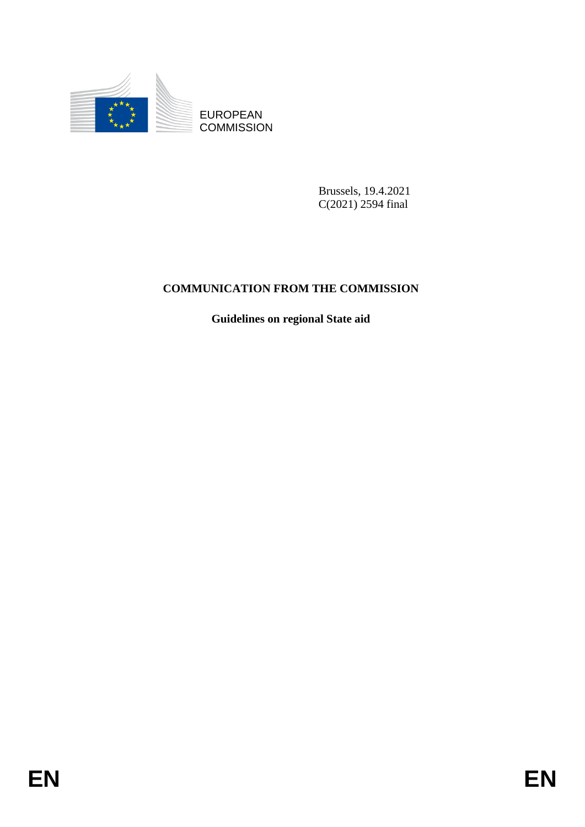

**COMMISSION** 

Brussels, 19.4.2021 C(2021) 2594 final

# EUROPEAN<br>
EUROPEAN<br>
ENERGY COMMUNISION<br>
Russels, 19,4, 2021<br>
COMMUNICATION FROM THE COMMUNISION<br>
Guidelines on regional State sid<br>
FINER **COMMUNICATION FROM THE COMMISSION**

**Guidelines on regional State aid**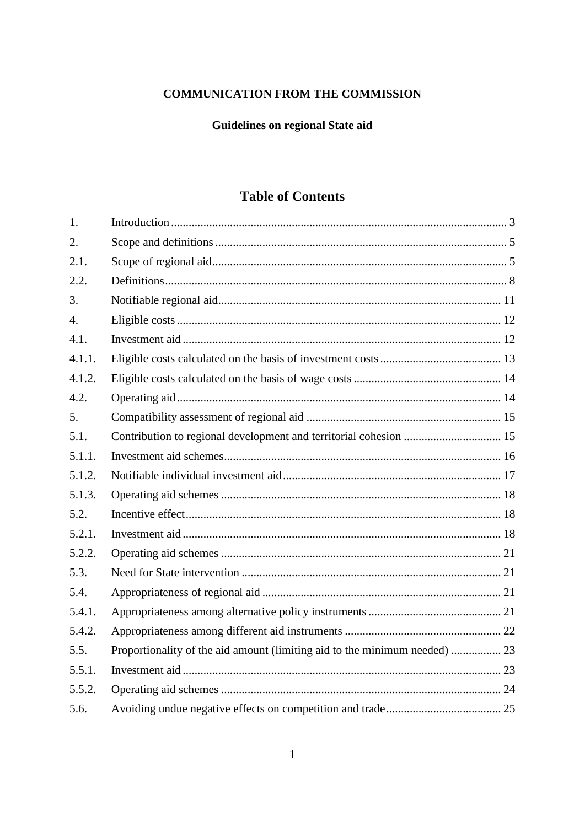# **COMMUNICATION FROM THE COMMISSION**

# Guidelines on regional State aid

# **Table of Contents**

| 1.               |                                                                            |  |
|------------------|----------------------------------------------------------------------------|--|
| 2.               |                                                                            |  |
| 2.1.             |                                                                            |  |
| 2.2.             |                                                                            |  |
| 3.               |                                                                            |  |
| $\overline{4}$ . |                                                                            |  |
| 4.1.             |                                                                            |  |
| 4.1.1.           |                                                                            |  |
| 4.1.2.           |                                                                            |  |
| 4.2.             |                                                                            |  |
| 5.               |                                                                            |  |
| 5.1.             | Contribution to regional development and territorial cohesion  15          |  |
| 5.1.1.           |                                                                            |  |
| 5.1.2.           |                                                                            |  |
| 5.1.3.           |                                                                            |  |
| 5.2.             |                                                                            |  |
| 5.2.1.           |                                                                            |  |
| 5.2.2.           |                                                                            |  |
| 5.3.             |                                                                            |  |
| 5.4.             |                                                                            |  |
| 5.4.1.           |                                                                            |  |
| 5.4.2.           |                                                                            |  |
| 5.5.             | Proportionality of the aid amount (limiting aid to the minimum needed)  23 |  |
| 5.5.1.           |                                                                            |  |
| 5.5.2.           |                                                                            |  |
| 5.6.             |                                                                            |  |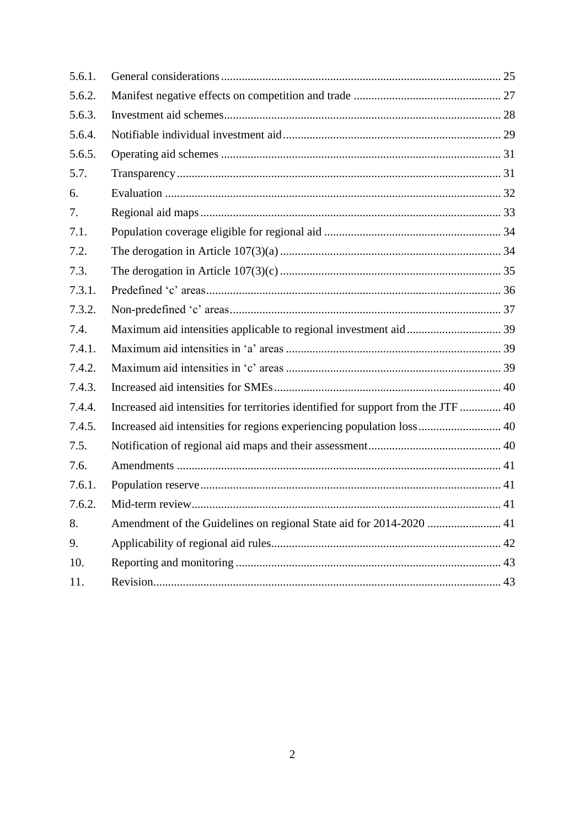| 5.6.1. |                                                                                   |  |
|--------|-----------------------------------------------------------------------------------|--|
| 5.6.2. |                                                                                   |  |
| 5.6.3. |                                                                                   |  |
| 5.6.4. |                                                                                   |  |
| 5.6.5. |                                                                                   |  |
| 5.7.   |                                                                                   |  |
| 6.     |                                                                                   |  |
| 7.     |                                                                                   |  |
| 7.1.   |                                                                                   |  |
| 7.2.   |                                                                                   |  |
| 7.3.   |                                                                                   |  |
| 7.3.1. |                                                                                   |  |
| 7.3.2. |                                                                                   |  |
| 7.4.   |                                                                                   |  |
| 7.4.1. |                                                                                   |  |
| 7.4.2. |                                                                                   |  |
| 7.4.3. |                                                                                   |  |
| 7.4.4. | Increased aid intensities for territories identified for support from the JTF  40 |  |
| 7.4.5. | Increased aid intensities for regions experiencing population loss 40             |  |
| 7.5.   |                                                                                   |  |
| 7.6.   |                                                                                   |  |
| 7.6.1. |                                                                                   |  |
| 7.6.2. |                                                                                   |  |
| 8.     | Amendment of the Guidelines on regional State aid for 2014-2020  41               |  |
| 9.     |                                                                                   |  |
| 10.    |                                                                                   |  |
| 11.    |                                                                                   |  |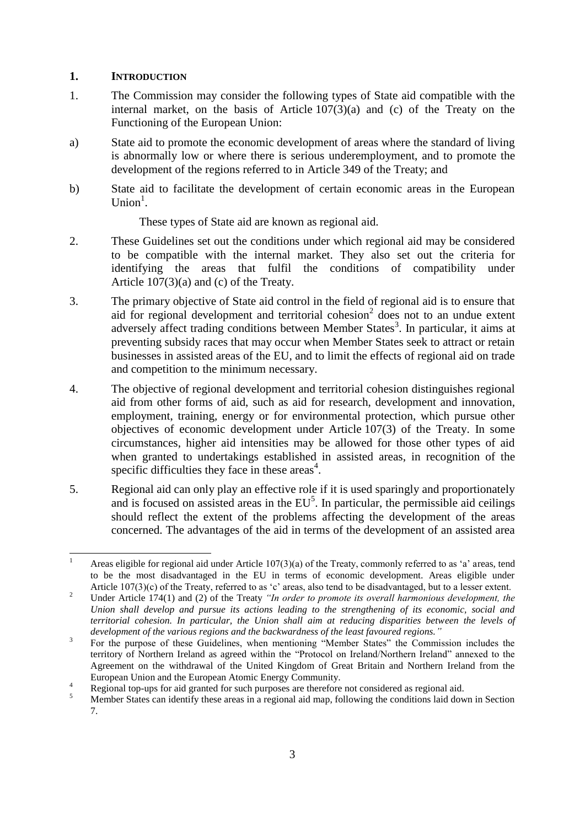## <span id="page-3-0"></span>**1. INTRODUCTION**

- 1. The Commission may consider the following types of State aid compatible with the internal market, on the basis of Article 107(3)(a) and (c) of the Treaty on the Functioning of the European Union:
- a) State aid to promote the economic development of areas where the standard of living is abnormally low or where there is serious underemployment, and to promote the development of the regions referred to in Article 349 of the Treaty; and
- b) State aid to facilitate the development of certain economic areas in the European  $Union<sup>1</sup>$ .

These types of State aid are known as regional aid.

- 2. These Guidelines set out the conditions under which regional aid may be considered to be compatible with the internal market. They also set out the criteria for identifying the areas that fulfil the conditions of compatibility under Article 107(3)(a) and (c) of the Treaty.
- 3. The primary objective of State aid control in the field of regional aid is to ensure that aid for regional development and territorial cohesion<sup>2</sup> does not to an undue extent adversely affect trading conditions between Member States<sup>3</sup>. In particular, it aims at preventing subsidy races that may occur when Member States seek to attract or retain businesses in assisted areas of the EU, and to limit the effects of regional aid on trade and competition to the minimum necessary.
- 4. The objective of regional development and territorial cohesion distinguishes regional aid from other forms of aid, such as aid for research, development and innovation, employment, training, energy or for environmental protection, which pursue other objectives of economic development under Article 107(3) of the Treaty. In some circumstances, higher aid intensities may be allowed for those other types of aid when granted to undertakings established in assisted areas, in recognition of the specific difficulties they face in these areas<sup>4</sup>.
- 5. Regional aid can only play an effective role if it is used sparingly and proportionately and is focused on assisted areas in the  $EU<sup>5</sup>$ . In particular, the permissible aid ceilings should reflect the extent of the problems affecting the development of the areas concerned. The advantages of the aid in terms of the development of an assisted area

<sup>1</sup> Areas eligible for regional aid under Article 107(3)(a) of the Treaty, commonly referred to as 'a' areas, tend to be the most disadvantaged in the EU in terms of economic development. Areas eligible under Article 107(3)(c) of the Treaty, referred to as 'c' areas, also tend to be disadvantaged, but to a lesser extent.

<sup>&</sup>lt;sup>2</sup> Under Article 174(1) and (2) of the Treaty *"In order to promote its overall harmonious development, the Union shall develop and pursue its actions leading to the strengthening of its economic, social and territorial cohesion. In particular, the Union shall aim at reducing disparities between the levels of development of the various regions and the backwardness of the least favoured regions."*

<sup>3</sup> For the purpose of these Guidelines, when mentioning "Member States" the Commission includes the territory of Northern Ireland as agreed within the "Protocol on Ireland/Northern Ireland" annexed to the Agreement on the withdrawal of the United Kingdom of Great Britain and Northern Ireland from the European Union and the European Atomic Energy Community.

<sup>4</sup> Regional top-ups for aid granted for such purposes are therefore not considered as regional aid.

<sup>5</sup> Member States can identify these areas in a regional aid map, following the conditions laid down in Section 7.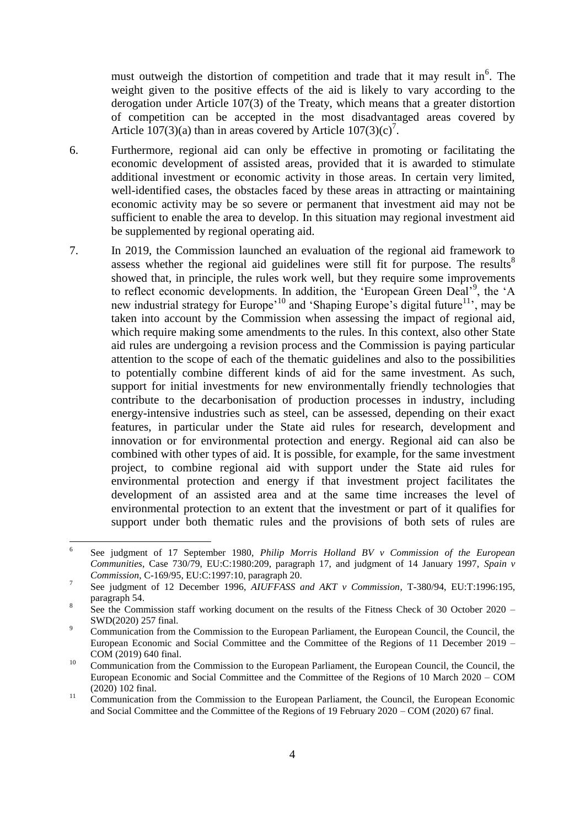must outweigh the distortion of competition and trade that it may result in $<sup>6</sup>$ . The</sup> weight given to the positive effects of the aid is likely to vary according to the derogation under Article 107(3) of the Treaty, which means that a greater distortion of competition can be accepted in the most disadvantaged areas covered by Article  $107(3)(a)$  than in areas covered by Article  $107(3)(c)^7$ .

- 6. Furthermore, regional aid can only be effective in promoting or facilitating the economic development of assisted areas, provided that it is awarded to stimulate additional investment or economic activity in those areas. In certain very limited, well-identified cases, the obstacles faced by these areas in attracting or maintaining economic activity may be so severe or permanent that investment aid may not be sufficient to enable the area to develop. In this situation may regional investment aid be supplemented by regional operating aid.
- 7. In 2019, the Commission launched an evaluation of the regional aid framework to assess whether the regional aid guidelines were still fit for purpose. The results  $8$ showed that, in principle, the rules work well, but they require some improvements to reflect economic developments. In addition, the 'European Green Deal'<sup>9</sup>, the 'A new industrial strategy for Europe<sup>'10</sup> and 'Shaping Europe's digital future<sup>11</sup>', may be taken into account by the Commission when assessing the impact of regional aid, which require making some amendments to the rules. In this context, also other State aid rules are undergoing a revision process and the Commission is paying particular attention to the scope of each of the thematic guidelines and also to the possibilities to potentially combine different kinds of aid for the same investment. As such, support for initial investments for new environmentally friendly technologies that contribute to the decarbonisation of production processes in industry, including energy-intensive industries such as steel, can be assessed, depending on their exact features, in particular under the State aid rules for research, development and innovation or for environmental protection and energy. Regional aid can also be combined with other types of aid. It is possible, for example, for the same investment project, to combine regional aid with support under the State aid rules for environmental protection and energy if that investment project facilitates the development of an assisted area and at the same time increases the level of environmental protection to an extent that the investment or part of it qualifies for support under both thematic rules and the provisions of both sets of rules are

 $\frac{1}{6}$ See judgment of 17 September 1980, *Philip Morris Holland BV v Commission of the European Communities*, Case 730/79, EU:C:1980:209, paragraph 17, and judgment of 14 January 1997, *Spain v Commission*, C-169/95, EU:C:1997:10, paragraph 20.

<sup>7</sup> See judgment of 12 December 1996, *AIUFFASS and AKT v Commission*, T-380/94, EU:T:1996:195, paragraph 54.

<sup>8</sup> See the Commission staff working document on the results of the Fitness Check of 30 October 2020 – SWD(2020) 257 final.

<sup>&</sup>lt;sup>9</sup> Communication from the Commission to the European Parliament, the European Council, the Council, the European Economic and Social Committee and the Committee of the Regions of 11 December 2019 – COM (2019) 640 final.

<sup>&</sup>lt;sup>10</sup> Communication from the Commission to the European Parliament, the European Council, the Council, the European Economic and Social Committee and the Committee of the Regions of 10 March 2020 – COM (2020) 102 final.

<sup>&</sup>lt;sup>11</sup> Communication from the Commission to the European Parliament, the Council, the European Economic and Social Committee and the Committee of the Regions of 19 February 2020 – COM (2020) 67 final.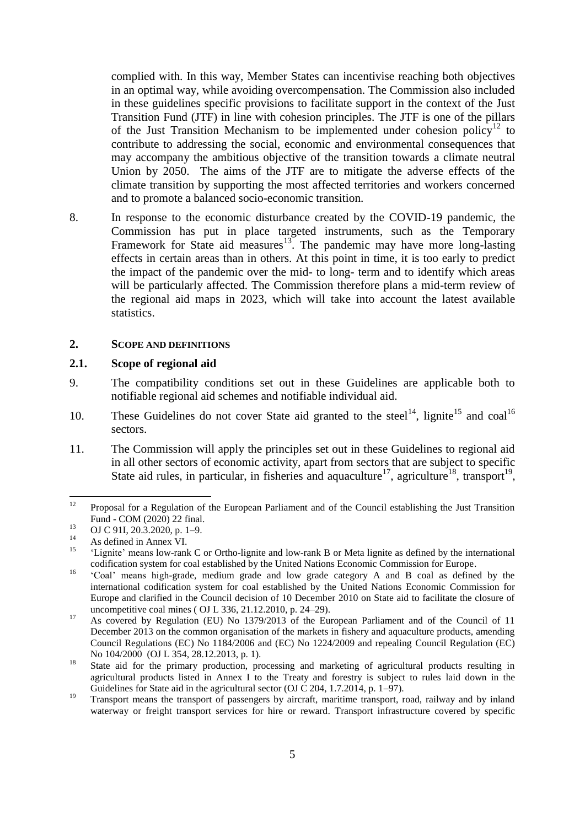complied with. In this way, Member States can incentivise reaching both objectives in an optimal way, while avoiding overcompensation. The Commission also included in these guidelines specific provisions to facilitate support in the context of the Just Transition Fund (JTF) in line with cohesion principles. The JTF is one of the pillars of the Just Transition Mechanism to be implemented under cohesion policy<sup>12</sup> to contribute to addressing the social, economic and environmental consequences that may accompany the ambitious objective of the transition towards a climate neutral Union by 2050. The aims of the JTF are to mitigate the adverse effects of the climate transition by supporting the most affected territories and workers concerned and to promote a balanced socio-economic transition.

8. In response to the economic disturbance created by the COVID-19 pandemic, the Commission has put in place targeted instruments, such as the Temporary Framework for State aid measures<sup>13</sup>. The pandemic may have more long-lasting effects in certain areas than in others. At this point in time, it is too early to predict the impact of the pandemic over the mid- to long- term and to identify which areas will be particularly affected. The Commission therefore plans a mid-term review of the regional aid maps in 2023, which will take into account the latest available statistics.

#### <span id="page-5-0"></span>**2. SCOPE AND DEFINITIONS**

#### <span id="page-5-1"></span>**2.1. Scope of regional aid**

- 9. The compatibility conditions set out in these Guidelines are applicable both to notifiable regional aid schemes and notifiable individual aid.
- 10. These Guidelines do not cover State aid granted to the steel<sup>14</sup>, lignite<sup>15</sup> and coal<sup>16</sup> sectors.
- 11. The Commission will apply the principles set out in these Guidelines to regional aid in all other sectors of economic activity, apart from sectors that are subject to specific State aid rules, in particular, in fisheries and aquaculture<sup>17</sup>, agriculture<sup>18</sup>, transport<sup>19</sup>,

 $12$ Proposal for a Regulation of the European Parliament and of the Council establishing the Just Transition Fund - COM (2020) 22 final.

 $^{13}$  OJ C 91I, 20.3.2020, p. 1–9.

<sup>&</sup>lt;sup>14</sup> As defined in Annex VI.

<sup>15</sup> 'Lignite' means low-rank C or Ortho-lignite and low-rank B or Meta lignite as defined by the international codification system for coal established by the United Nations Economic Commission for Europe.

<sup>&</sup>lt;sup>16</sup> 'Coal' means high-grade, medium grade and low grade category A and B coal as defined by the international codification system for coal established by the United Nations Economic Commission for Europe and clarified in the Council decision of 10 December 2010 on State aid to facilitate the closure of uncompetitive coal mines ( OJ L 336, 21.12.2010, p. 24–29).

<sup>&</sup>lt;sup>17</sup> As covered by Regulation (EU) No 1379/2013 of the European Parliament and of the Council of 11 December 2013 on the common organisation of the markets in fishery and aquaculture products, amending Council Regulations (EC) No 1184/2006 and (EC) No 1224/2009 and repealing Council Regulation (EC) No 104/2000 (OJ L 354, 28.12.2013, p. 1).

<sup>&</sup>lt;sup>18</sup> State aid for the primary production, processing and marketing of agricultural products resulting in agricultural products listed in Annex I to the Treaty and forestry is subject to rules laid down in the Guidelines for State aid in the agricultural sector (OJ C 204, 1.7.2014, p. 1–97).

<sup>&</sup>lt;sup>19</sup> Transport means the transport of passengers by aircraft, maritime transport, road, railway and by inland waterway or freight transport services for hire or reward. Transport infrastructure covered by specific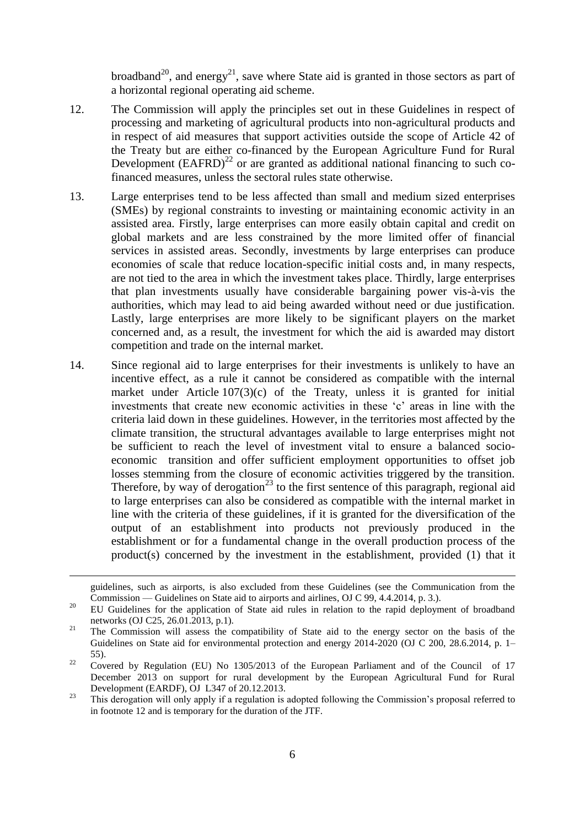broadband<sup>20</sup>, and energy<sup>21</sup>, save where State aid is granted in those sectors as part of a horizontal regional operating aid scheme.

- 12. The Commission will apply the principles set out in these Guidelines in respect of processing and marketing of agricultural products into non-agricultural products and in respect of aid measures that support activities outside the scope of Article 42 of the Treaty but are either co-financed by the European Agriculture Fund for Rural Development  $(BAFRD)^{22}$  or are granted as additional national financing to such cofinanced measures, unless the sectoral rules state otherwise.
- 13. Large enterprises tend to be less affected than small and medium sized enterprises (SMEs) by regional constraints to investing or maintaining economic activity in an assisted area. Firstly, large enterprises can more easily obtain capital and credit on global markets and are less constrained by the more limited offer of financial services in assisted areas. Secondly, investments by large enterprises can produce economies of scale that reduce location-specific initial costs and, in many respects, are not tied to the area in which the investment takes place. Thirdly, large enterprises that plan investments usually have considerable bargaining power vis-à-vis the authorities, which may lead to aid being awarded without need or due justification. Lastly, large enterprises are more likely to be significant players on the market concerned and, as a result, the investment for which the aid is awarded may distort competition and trade on the internal market.
- 14. Since regional aid to large enterprises for their investments is unlikely to have an incentive effect, as a rule it cannot be considered as compatible with the internal market under Article 107(3)(c) of the Treaty, unless it is granted for initial investments that create new economic activities in these 'c' areas in line with the criteria laid down in these guidelines. However, in the territories most affected by the climate transition, the structural advantages available to large enterprises might not be sufficient to reach the level of investment vital to ensure a balanced socioeconomic transition and offer sufficient employment opportunities to offset job losses stemming from the closure of economic activities triggered by the transition. Therefore, by way of derogation<sup>23</sup> to the first sentence of this paragraph, regional aid to large enterprises can also be considered as compatible with the internal market in line with the criteria of these guidelines, if it is granted for the diversification of the output of an establishment into products not previously produced in the establishment or for a fundamental change in the overall production process of the product(s) concerned by the investment in the establishment, provided (1) that it

1

guidelines, such as airports, is also excluded from these Guidelines (see the Communication from the Commission — [Guidelines on State aid to airports and airlines,](http://eur-lex.europa.eu/legal-content/EN/TXT/PDF/?uri=OJ:C:2014:099:FULL&from=EN) OJ C 99, 4.4.2014, p. 3.).

<sup>&</sup>lt;sup>20</sup> EU Guidelines for the application of State aid rules in relation to the rapid deployment of broadband networks (OJ C25, 26.01.2013, p.1).

<sup>&</sup>lt;sup>21</sup> The Commission will assess the compatibility of State aid to the energy sector on the basis of the Guidelines on State aid for environmental protection and energy 2014-2020 (OJ C 200, 28.6.2014, p. 1– 55).

 $22$  Covered by Regulation (EU) No 1305/2013 of the European Parliament and of the Council of 17 December 2013 on support for rural development by the European Agricultural Fund for Rural Development (EARDF), OJ L347 of 20.12.2013.

<sup>&</sup>lt;sup>23</sup> This derogation will only apply if a regulation is adopted following the Commission's proposal referred to in footnote 12 and is temporary for the duration of the JTF.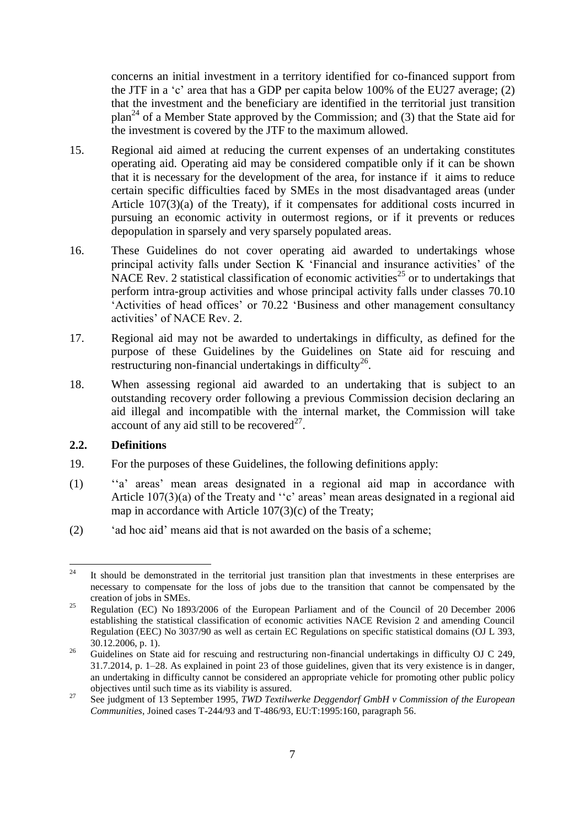concerns an initial investment in a territory identified for co-financed support from the JTF in a 'c' area that has a GDP per capita below 100% of the EU27 average; (2) that the investment and the beneficiary are identified in the territorial just transition plan<sup>24</sup> of a Member State approved by the Commission; and (3) that the State aid for the investment is covered by the JTF to the maximum allowed.

- 15. Regional aid aimed at reducing the current expenses of an undertaking constitutes operating aid. Operating aid may be considered compatible only if it can be shown that it is necessary for the development of the area, for instance if it aims to reduce certain specific difficulties faced by SMEs in the most disadvantaged areas (under Article 107(3)(a) of the Treaty), if it compensates for additional costs incurred in pursuing an economic activity in outermost regions, or if it prevents or reduces depopulation in sparsely and very sparsely populated areas.
- 16. These Guidelines do not cover operating aid awarded to undertakings whose principal activity falls under Section K 'Financial and insurance activities' of the NACE Rev. 2 statistical classification of economic activities<sup>25</sup> or to undertakings that perform intra-group activities and whose principal activity falls under classes 70.10 'Activities of head offices' or 70.22 'Business and other management consultancy activities' of NACE Rev. 2.
- 17. Regional aid may not be awarded to undertakings in difficulty, as defined for the purpose of these Guidelines by the Guidelines on State aid for rescuing and  $r$ estructuring non-financial undertakings in difficulty<sup>26</sup>.
- 18. When assessing regional aid awarded to an undertaking that is subject to an outstanding recovery order following a previous Commission decision declaring an aid illegal and incompatible with the internal market, the Commission will take account of any aid still to be recovered<sup>27</sup>.

#### <span id="page-7-0"></span>**2.2. Definitions**

- 19. For the purposes of these Guidelines, the following definitions apply:
- (1) ''a' areas' mean areas designated in a regional aid map in accordance with Article 107(3)(a) of the Treaty and ''c' areas' mean areas designated in a regional aid map in accordance with Article 107(3)(c) of the Treaty;
- (2) 'ad hoc aid' means aid that is not awarded on the basis of a scheme;

<sup>24</sup> It should be demonstrated in the territorial just transition plan that investments in these enterprises are necessary to compensate for the loss of jobs due to the transition that cannot be compensated by the creation of jobs in SMEs.

<sup>&</sup>lt;sup>25</sup> Regulation (EC) No 1893/2006 of the European Parliament and of the Council of 20 December 2006 establishing the statistical classification of economic activities NACE Revision 2 and amending Council Regulation (EEC) No 3037/90 as well as certain EC Regulations on specific statistical domains (OJ L 393, 30.12.2006, p. 1).

<sup>&</sup>lt;sup>26</sup> Guidelines on State aid for rescuing and restructuring non-financial undertakings in difficulty OJ C 249, 31.7.2014, p. 1–28. As explained in point 23 of those guidelines, given that its very existence is in danger, an undertaking in difficulty cannot be considered an appropriate vehicle for promoting other public policy objectives until such time as its viability is assured.

<sup>&</sup>lt;sup>27</sup> See judgment of 13 September 1995, *TWD Textilwerke Deggendorf GmbH v Commission of the European Communities*, Joined cases T-244/93 and T-486/93, EU:T:1995:160, paragraph 56.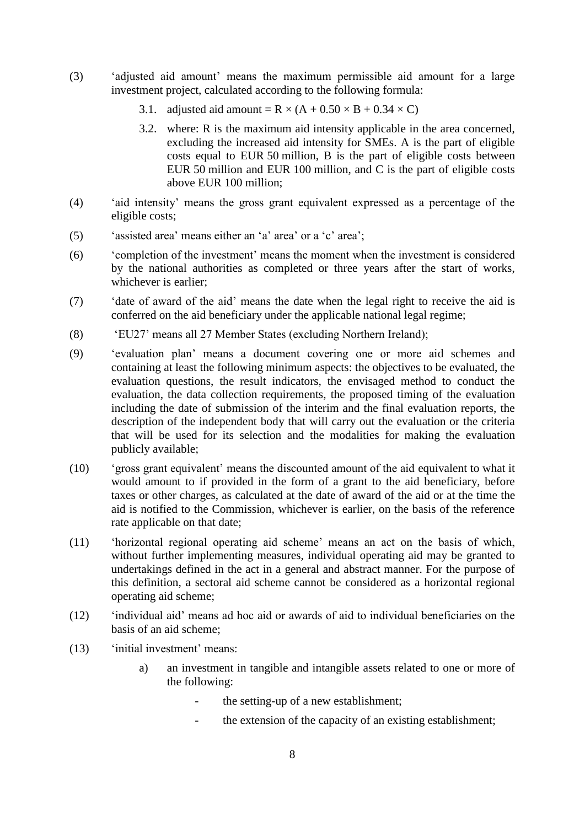- (3) 'adjusted aid amount' means the maximum permissible aid amount for a large investment project, calculated according to the following formula:
	- 3.1. adjusted aid amount =  $R \times (A + 0.50 \times B + 0.34 \times C)$
	- 3.2. where: R is the maximum aid intensity applicable in the area concerned, excluding the increased aid intensity for SMEs. A is the part of eligible costs equal to EUR 50 million, B is the part of eligible costs between EUR 50 million and EUR 100 million, and C is the part of eligible costs above EUR 100 million;
- (4) 'aid intensity' means the gross grant equivalent expressed as a percentage of the eligible costs;
- (5) 'assisted area' means either an 'a' area' or a 'c' area';
- (6) 'completion of the investment' means the moment when the investment is considered by the national authorities as completed or three years after the start of works, whichever is earlier;
- (7) 'date of award of the aid' means the date when the legal right to receive the aid is conferred on the aid beneficiary under the applicable national legal regime;
- (8) 'EU27' means all 27 Member States (excluding Northern Ireland);
- (9) 'evaluation plan' means a document covering one or more aid schemes and containing at least the following minimum aspects: the objectives to be evaluated, the evaluation questions, the result indicators, the envisaged method to conduct the evaluation, the data collection requirements, the proposed timing of the evaluation including the date of submission of the interim and the final evaluation reports, the description of the independent body that will carry out the evaluation or the criteria that will be used for its selection and the modalities for making the evaluation publicly available;
- (10) 'gross grant equivalent' means the discounted amount of the aid equivalent to what it would amount to if provided in the form of a grant to the aid beneficiary, before taxes or other charges, as calculated at the date of award of the aid or at the time the aid is notified to the Commission, whichever is earlier, on the basis of the reference rate applicable on that date;
- (11) 'horizontal regional operating aid scheme' means an act on the basis of which, without further implementing measures, individual operating aid may be granted to undertakings defined in the act in a general and abstract manner. For the purpose of this definition, a sectoral aid scheme cannot be considered as a horizontal regional operating aid scheme;
- (12) 'individual aid' means ad hoc aid or awards of aid to individual beneficiaries on the basis of an aid scheme;
- (13) 'initial investment' means:
	- a) an investment in tangible and intangible assets related to one or more of the following:
		- the setting-up of a new establishment;
		- the extension of the capacity of an existing establishment;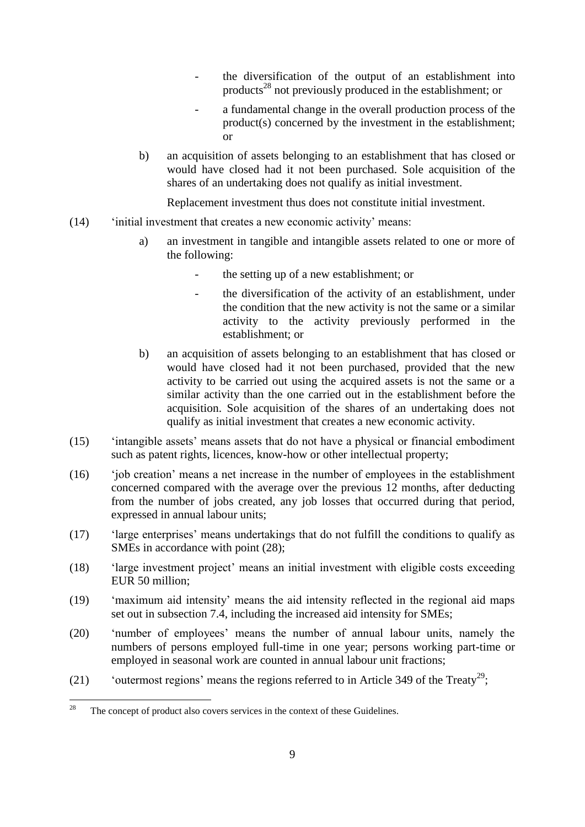- the diversification of the output of an establishment into products<sup>28</sup> not previously produced in the establishment; or
- a fundamental change in the overall production process of the product(s) concerned by the investment in the establishment; or
- b) an acquisition of assets belonging to an establishment that has closed or would have closed had it not been purchased. Sole acquisition of the shares of an undertaking does not qualify as initial investment.

Replacement investment thus does not constitute initial investment.

- (14) 'initial investment that creates a new economic activity' means:
	- a) an investment in tangible and intangible assets related to one or more of the following:
		- the setting up of a new establishment; or
		- the diversification of the activity of an establishment, under the condition that the new activity is not the same or a similar activity to the activity previously performed in the establishment; or
	- b) an acquisition of assets belonging to an establishment that has closed or would have closed had it not been purchased, provided that the new activity to be carried out using the acquired assets is not the same or a similar activity than the one carried out in the establishment before the acquisition. Sole acquisition of the shares of an undertaking does not qualify as initial investment that creates a new economic activity.
- (15) 'intangible assets' means assets that do not have a physical or financial embodiment such as patent rights, licences, know-how or other intellectual property;
- (16) 'job creation' means a net increase in the number of employees in the establishment concerned compared with the average over the previous 12 months, after deducting from the number of jobs created, any job losses that occurred during that period, expressed in annual labour units;
- (17) 'large enterprises' means undertakings that do not fulfill the conditions to qualify as SMEs in accordance with point (28);
- (18) 'large investment project' means an initial investment with eligible costs exceeding EUR 50 million;
- (19) 'maximum aid intensity' means the aid intensity reflected in the regional aid maps set out in subsection 7.4, including the increased aid intensity for SMEs;
- (20) 'number of employees' means the number of annual labour units, namely the numbers of persons employed full-time in one year; persons working part-time or employed in seasonal work are counted in annual labour unit fractions;
- (21) 'outermost regions' means the regions referred to in Article 349 of the Treaty<sup>29</sup>;

<sup>28</sup> The concept of product also covers services in the context of these Guidelines.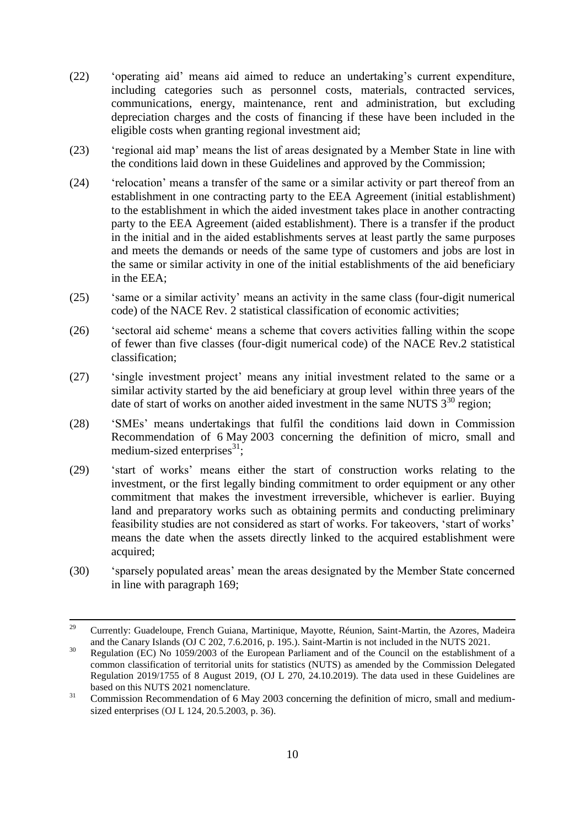- (22) 'operating aid' means aid aimed to reduce an undertaking's current expenditure, including categories such as personnel costs, materials, contracted services, communications, energy, maintenance, rent and administration, but excluding depreciation charges and the costs of financing if these have been included in the eligible costs when granting regional investment aid;
- (23) 'regional aid map' means the list of areas designated by a Member State in line with the conditions laid down in these Guidelines and approved by the Commission;
- (24) 'relocation' means a transfer of the same or a similar activity or part thereof from an establishment in one contracting party to the EEA Agreement (initial establishment) to the establishment in which the aided investment takes place in another contracting party to the EEA Agreement (aided establishment). There is a transfer if the product in the initial and in the aided establishments serves at least partly the same purposes and meets the demands or needs of the same type of customers and jobs are lost in the same or similar activity in one of the initial establishments of the aid beneficiary in the EEA;
- (25) 'same or a similar activity' means an activity in the same class (four-digit numerical code) of the NACE Rev. 2 statistical classification of economic activities;
- (26) 'sectoral aid scheme' means a scheme that covers activities falling within the scope of fewer than five classes (four-digit numerical code) of the NACE Rev.2 statistical classification;
- (27) 'single investment project' means any initial investment related to the same or a similar activity started by the aid beneficiary at group level within three years of the date of start of works on another aided investment in the same NUTS  $3^{30}$  region:
- (28) 'SMEs' means undertakings that fulfil the conditions laid down in Commission Recommendation of 6 May 2003 concerning the definition of micro, small and medium-sized enterprises $^{31}$ ;
- (29) 'start of works' means either the start of construction works relating to the investment, or the first legally binding commitment to order equipment or any other commitment that makes the investment irreversible, whichever is earlier. Buying land and preparatory works such as obtaining permits and conducting preliminary feasibility studies are not considered as start of works. For takeovers, 'start of works' means the date when the assets directly linked to the acquired establishment were acquired;
- (30) 'sparsely populated areas' mean the areas designated by the Member State concerned in line with paragraph 169;

 $29$ <sup>29</sup> Currently: Guadeloupe, French Guiana, Martinique, Mayotte, Réunion, Saint-Martin, the Azores, Madeira and the Canary Islands (OJ C 202, 7.6.2016, p. 195.). Saint-Martin is not included in the NUTS 2021.

<sup>&</sup>lt;sup>30</sup> Regulation (EC) No 1059/2003 of the European Parliament and of the Council on the establishment of a common classification of territorial units for statistics (NUTS) as amended by the [Commission Delegated](https://eur-lex.europa.eu/legal-content/EN/TXT/?qid=1571919890809&uri=CELEX:32019R1755)  [Regulation 2019/1755 of 8 August 2019,](https://eur-lex.europa.eu/legal-content/EN/TXT/?qid=1571919890809&uri=CELEX:32019R1755) (OJ L 270, 24.10.2019). The data used in these Guidelines are based on this NUTS 2021 nomenclature.

<sup>&</sup>lt;sup>31</sup> Commission Recommendation of 6 May 2003 concerning the definition of micro, small and mediumsized enterprises (OJ L 124, 20.5.2003, p. 36).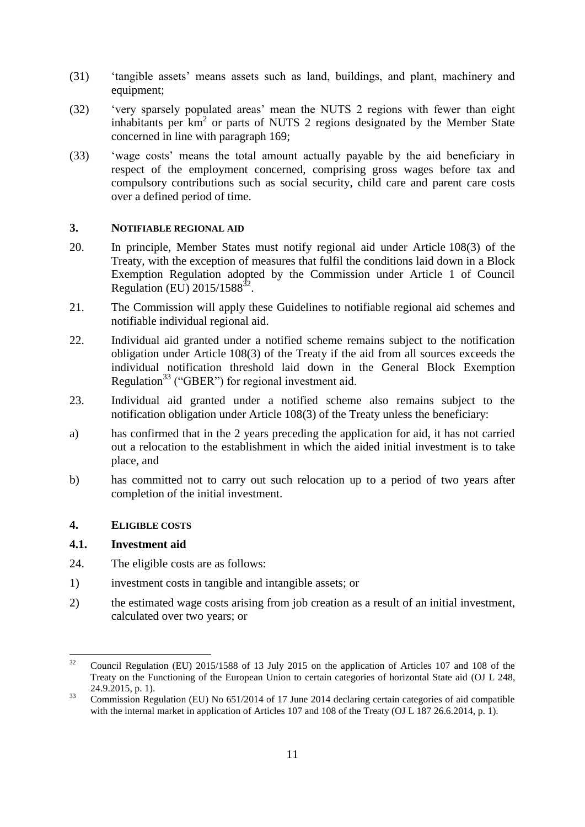- (31) 'tangible assets' means assets such as land, buildings, and plant, machinery and equipment;
- (32) 'very sparsely populated areas' mean the NUTS 2 regions with fewer than eight inhabitants per  $km<sup>2</sup>$  or parts of NUTS 2 regions designated by the Member State concerned in line with paragraph 169;
- (33) 'wage costs' means the total amount actually payable by the aid beneficiary in respect of the employment concerned, comprising gross wages before tax and compulsory contributions such as social security, child care and parent care costs over a defined period of time.

### <span id="page-11-0"></span>**3. NOTIFIABLE REGIONAL AID**

- 20. In principle, Member States must notify regional aid under Article 108(3) of the Treaty, with the exception of measures that fulfil the conditions laid down in a Block Exemption Regulation adopted by the Commission under Article 1 of Council Regulation (EU)  $2015/1588^{32}$ .
- 21. The Commission will apply these Guidelines to notifiable regional aid schemes and notifiable individual regional aid.
- 22. Individual aid granted under a notified scheme remains subject to the notification obligation under Article 108(3) of the Treaty if the aid from all sources exceeds the individual notification threshold laid down in the General Block Exemption Regulation<sup>33</sup> ("GBER") for regional investment aid.
- 23. Individual aid granted under a notified scheme also remains subject to the notification obligation under Article 108(3) of the Treaty unless the beneficiary:
- a) has confirmed that in the 2 years preceding the application for aid, it has not carried out a relocation to the establishment in which the aided initial investment is to take place, and
- b) has committed not to carry out such relocation up to a period of two years after completion of the initial investment.

#### <span id="page-11-1"></span>**4. ELIGIBLE COSTS**

# <span id="page-11-2"></span>**4.1. Investment aid**

- 24. The eligible costs are as follows:
- 1) investment costs in tangible and intangible assets; or
- 2) the estimated wage costs arising from job creation as a result of an initial investment, calculated over two years; or

 $32$ <sup>32</sup> Council Regulation (EU) 2015/1588 of 13 July 2015 on the application of Articles 107 and 108 of the Treaty on the Functioning of the European Union to certain categories of horizontal State aid (OJ L 248, 24.9.2015, p. 1).

<sup>&</sup>lt;sup>33</sup> Commission Regulation (EU) No 651/2014 of 17 June 2014 declaring certain categories of aid compatible with the internal market in application of Articles 107 and 108 of the Treaty (OJ L 187 26.6.2014, p. 1).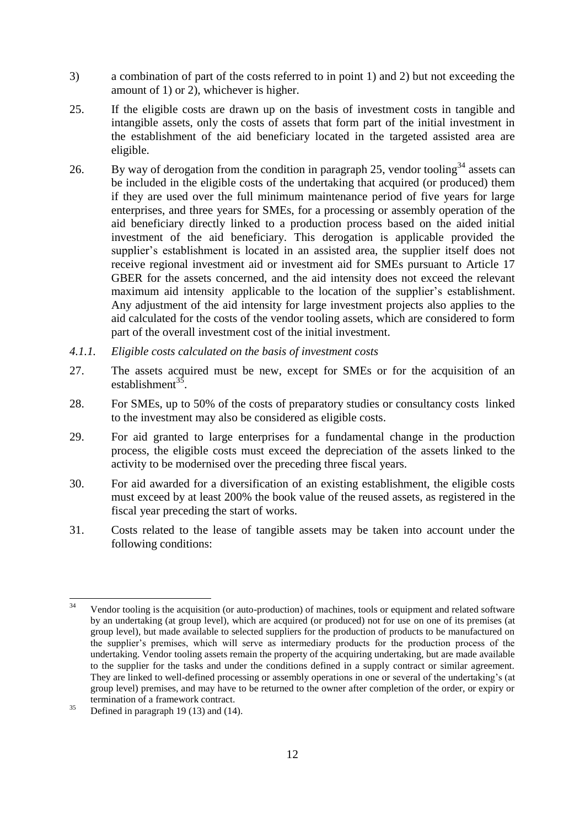- 3) a combination of part of the costs referred to in point 1) and 2) but not exceeding the amount of 1) or 2), whichever is higher.
- 25. If the eligible costs are drawn up on the basis of investment costs in tangible and intangible assets, only the costs of assets that form part of the initial investment in the establishment of the aid beneficiary located in the targeted assisted area are eligible.
- 26. By way of derogation from the condition in paragraph 25, vendor tooling<sup>34</sup> assets can be included in the eligible costs of the undertaking that acquired (or produced) them if they are used over the full minimum maintenance period of five years for large enterprises, and three years for SMEs, for a processing or assembly operation of the aid beneficiary directly linked to a production process based on the aided initial investment of the aid beneficiary. This derogation is applicable provided the supplier's establishment is located in an assisted area, the supplier itself does not receive regional investment aid or investment aid for SMEs pursuant to Article 17 GBER for the assets concerned, and the aid intensity does not exceed the relevant maximum aid intensity applicable to the location of the supplier's establishment. Any adjustment of the aid intensity for large investment projects also applies to the aid calculated for the costs of the vendor tooling assets, which are considered to form part of the overall investment cost of the initial investment.
- <span id="page-12-0"></span>*4.1.1. Eligible costs calculated on the basis of investment costs*
- 27. The assets acquired must be new, except for SMEs or for the acquisition of an establishment<sup>35</sup>.
- 28. For SMEs, up to 50% of the costs of preparatory studies or consultancy costs linked to the investment may also be considered as eligible costs.
- 29. For aid granted to large enterprises for a fundamental change in the production process, the eligible costs must exceed the depreciation of the assets linked to the activity to be modernised over the preceding three fiscal years.
- 30. For aid awarded for a diversification of an existing establishment, the eligible costs must exceed by at least 200% the book value of the reused assets, as registered in the fiscal year preceding the start of works.
- 31. Costs related to the lease of tangible assets may be taken into account under the following conditions:

 $34$ Vendor tooling is the acquisition (or auto-production) of machines, tools or equipment and related software by an undertaking (at group level), which are acquired (or produced) not for use on one of its premises (at group level), but made available to selected suppliers for the production of products to be manufactured on the supplier's premises, which will serve as intermediary products for the production process of the undertaking. Vendor tooling assets remain the property of the acquiring undertaking, but are made available to the supplier for the tasks and under the conditions defined in a supply contract or similar agreement. They are linked to well-defined processing or assembly operations in one or several of the undertaking's (at group level) premises, and may have to be returned to the owner after completion of the order, or expiry or termination of a framework contract.

 $35$  Defined in paragraph 19 (13) and (14).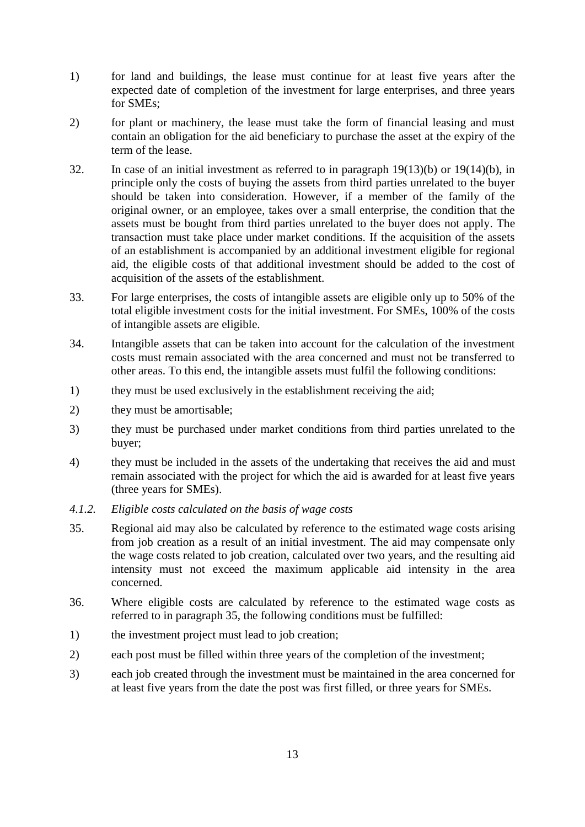- 1) for land and buildings, the lease must continue for at least five years after the expected date of completion of the investment for large enterprises, and three years for SMEs;
- 2) for plant or machinery, the lease must take the form of financial leasing and must contain an obligation for the aid beneficiary to purchase the asset at the expiry of the term of the lease.
- 32. In case of an initial investment as referred to in paragraph 19(13)(b) or 19(14)(b), in principle only the costs of buying the assets from third parties unrelated to the buyer should be taken into consideration. However, if a member of the family of the original owner, or an employee, takes over a small enterprise, the condition that the assets must be bought from third parties unrelated to the buyer does not apply. The transaction must take place under market conditions. If the acquisition of the assets of an establishment is accompanied by an additional investment eligible for regional aid, the eligible costs of that additional investment should be added to the cost of acquisition of the assets of the establishment.
- 33. For large enterprises, the costs of intangible assets are eligible only up to 50% of the total eligible investment costs for the initial investment. For SMEs, 100% of the costs of intangible assets are eligible.
- 34. Intangible assets that can be taken into account for the calculation of the investment costs must remain associated with the area concerned and must not be transferred to other areas. To this end, the intangible assets must fulfil the following conditions:
- 1) they must be used exclusively in the establishment receiving the aid;
- 2) they must be amortisable;
- 3) they must be purchased under market conditions from third parties unrelated to the buyer;
- 4) they must be included in the assets of the undertaking that receives the aid and must remain associated with the project for which the aid is awarded for at least five years (three years for SMEs).
- <span id="page-13-0"></span>*4.1.2. Eligible costs calculated on the basis of wage costs*
- 35. Regional aid may also be calculated by reference to the estimated wage costs arising from job creation as a result of an initial investment. The aid may compensate only the wage costs related to job creation, calculated over two years, and the resulting aid intensity must not exceed the maximum applicable aid intensity in the area concerned.
- 36. Where eligible costs are calculated by reference to the estimated wage costs as referred to in paragraph 35, the following conditions must be fulfilled:
- 1) the investment project must lead to job creation;
- 2) each post must be filled within three years of the completion of the investment;
- 3) each job created through the investment must be maintained in the area concerned for at least five years from the date the post was first filled, or three years for SMEs.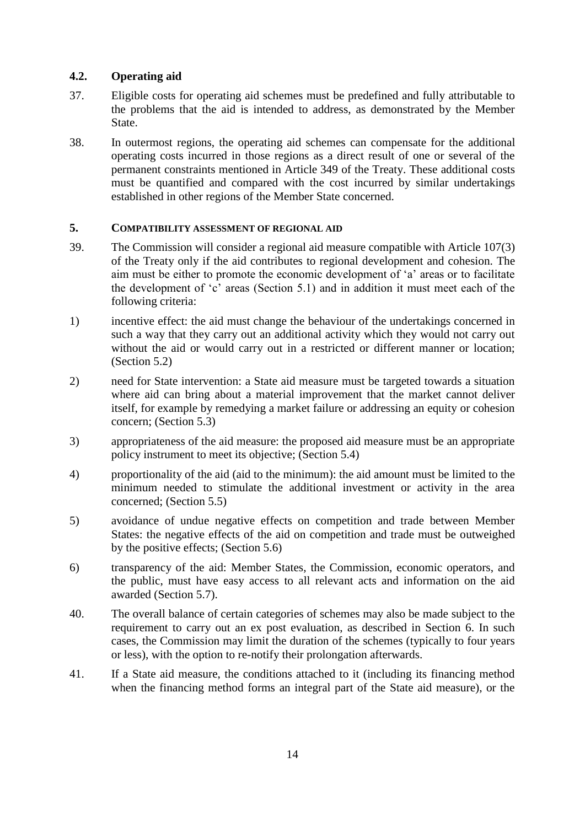# <span id="page-14-0"></span>**4.2. Operating aid**

- 37. Eligible costs for operating aid schemes must be predefined and fully attributable to the problems that the aid is intended to address, as demonstrated by the Member State.
- 38. In outermost regions, the operating aid schemes can compensate for the additional operating costs incurred in those regions as a direct result of one or several of the permanent constraints mentioned in Article 349 of the Treaty. These additional costs must be quantified and compared with the cost incurred by similar undertakings established in other regions of the Member State concerned.

#### <span id="page-14-1"></span>**5. COMPATIBILITY ASSESSMENT OF REGIONAL AID**

- 39. The Commission will consider a regional aid measure compatible with Article 107(3) of the Treaty only if the aid contributes to regional development and cohesion. The aim must be either to promote the economic development of 'a' areas or to facilitate the development of 'c' areas (Section 5.1) and in addition it must meet each of the following criteria:
- 1) incentive effect: the aid must change the behaviour of the undertakings concerned in such a way that they carry out an additional activity which they would not carry out without the aid or would carry out in a restricted or different manner or location; (Section 5.2)
- 2) need for State intervention: a State aid measure must be targeted towards a situation where aid can bring about a material improvement that the market cannot deliver itself, for example by remedying a market failure or addressing an equity or cohesion concern; (Section 5.3)
- 3) appropriateness of the aid measure: the proposed aid measure must be an appropriate policy instrument to meet its objective; (Section 5.4)
- 4) proportionality of the aid (aid to the minimum): the aid amount must be limited to the minimum needed to stimulate the additional investment or activity in the area concerned; (Section 5.5)
- 5) avoidance of undue negative effects on competition and trade between Member States: the negative effects of the aid on competition and trade must be outweighed by the positive effects; (Section 5.6)
- 6) transparency of the aid: Member States, the Commission, economic operators, and the public, must have easy access to all relevant acts and information on the aid awarded (Section 5.7).
- 40. The overall balance of certain categories of schemes may also be made subject to the requirement to carry out an ex post evaluation, as described in Section 6. In such cases, the Commission may limit the duration of the schemes (typically to four years or less), with the option to re-notify their prolongation afterwards.
- 41. If a State aid measure, the conditions attached to it (including its financing method when the financing method forms an integral part of the State aid measure), or the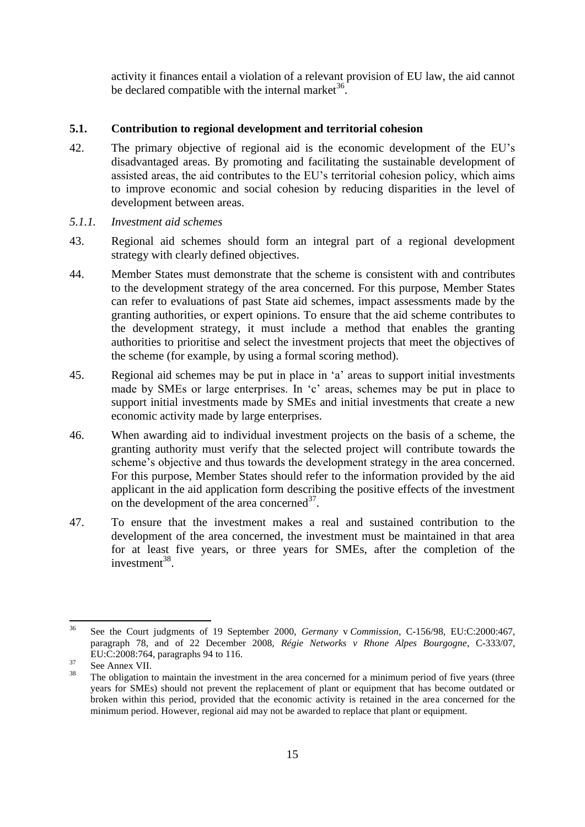activity it finances entail a violation of a relevant provision of EU law, the aid cannot be declared compatible with the internal market  $36$ .

## <span id="page-15-0"></span>**5.1. Contribution to regional development and territorial cohesion**

- 42. The primary objective of regional aid is the economic development of the EU's disadvantaged areas. By promoting and facilitating the sustainable development of assisted areas, the aid contributes to the EU's territorial cohesion policy, which aims to improve economic and social cohesion by reducing disparities in the level of development between areas.
- <span id="page-15-1"></span>*5.1.1. Investment aid schemes*
- 43. Regional aid schemes should form an integral part of a regional development strategy with clearly defined objectives.
- 44. Member States must demonstrate that the scheme is consistent with and contributes to the development strategy of the area concerned. For this purpose, Member States can refer to evaluations of past State aid schemes, impact assessments made by the granting authorities, or expert opinions. To ensure that the aid scheme contributes to the development strategy, it must include a method that enables the granting authorities to prioritise and select the investment projects that meet the objectives of the scheme (for example, by using a formal scoring method).
- 45. Regional aid schemes may be put in place in 'a' areas to support initial investments made by SMEs or large enterprises. In 'c' areas, schemes may be put in place to support initial investments made by SMEs and initial investments that create a new economic activity made by large enterprises.
- 46. When awarding aid to individual investment projects on the basis of a scheme, the granting authority must verify that the selected project will contribute towards the scheme's objective and thus towards the development strategy in the area concerned. For this purpose, Member States should refer to the information provided by the aid applicant in the aid application form describing the positive effects of the investment on the development of the area concerned $^{37}$ .
- 47. To ensure that the investment makes a real and sustained contribution to the development of the area concerned, the investment must be maintained in that area for at least five years, or three years for SMEs, after the completion of the investment $^{38}$ .

 $36$ <sup>36</sup> See the Court judgments of 19 September 2000, *Germany* v *Commission*, C-156/98, EU:C:2000:467, paragraph 78, and of 22 December 2008, *Régie Networks v Rhone Alpes Bourgogne*, C-333/07, EU:C:2008:764, paragraphs 94 to 116.

 $rac{37}{38}$  See Annex VII.

The obligation to maintain the investment in the area concerned for a minimum period of five years (three years for SMEs) should not prevent the replacement of plant or equipment that has become outdated or broken within this period, provided that the economic activity is retained in the area concerned for the minimum period. However, regional aid may not be awarded to replace that plant or equipment.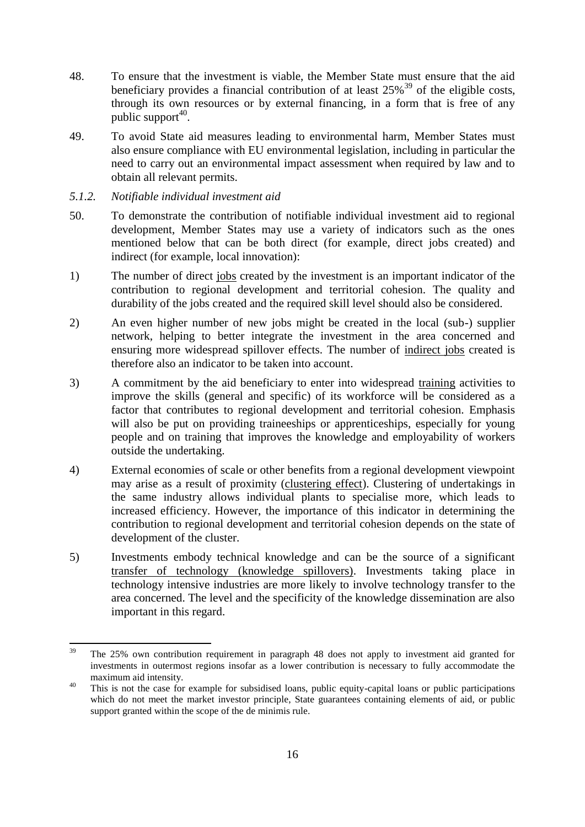- 48. To ensure that the investment is viable, the Member State must ensure that the aid beneficiary provides a financial contribution of at least  $25\%$ <sup>39</sup> of the eligible costs, through its own resources or by external financing, in a form that is free of any public support<sup>40</sup>.
- 49. To avoid State aid measures leading to environmental harm, Member States must also ensure compliance with EU environmental legislation, including in particular the need to carry out an environmental impact assessment when required by law and to obtain all relevant permits.
- <span id="page-16-0"></span>*5.1.2. Notifiable individual investment aid*
- 50. To demonstrate the contribution of notifiable individual investment aid to regional development, Member States may use a variety of indicators such as the ones mentioned below that can be both direct (for example, direct jobs created) and indirect (for example, local innovation):
- 1) The number of direct jobs created by the investment is an important indicator of the contribution to regional development and territorial cohesion. The quality and durability of the jobs created and the required skill level should also be considered.
- 2) An even higher number of new jobs might be created in the local (sub-) supplier network, helping to better integrate the investment in the area concerned and ensuring more widespread spillover effects. The number of indirect jobs created is therefore also an indicator to be taken into account.
- 3) A commitment by the aid beneficiary to enter into widespread training activities to improve the skills (general and specific) of its workforce will be considered as a factor that contributes to regional development and territorial cohesion. Emphasis will also be put on providing traineeships or apprenticeships, especially for young people and on training that improves the knowledge and employability of workers outside the undertaking.
- 4) External economies of scale or other benefits from a regional development viewpoint may arise as a result of proximity (clustering effect). Clustering of undertakings in the same industry allows individual plants to specialise more, which leads to increased efficiency. However, the importance of this indicator in determining the contribution to regional development and territorial cohesion depends on the state of development of the cluster.
- 5) Investments embody technical knowledge and can be the source of a significant transfer of technology (knowledge spillovers). Investments taking place in technology intensive industries are more likely to involve technology transfer to the area concerned. The level and the specificity of the knowledge dissemination are also important in this regard.

<sup>39</sup> <sup>39</sup> The 25% own contribution requirement in paragraph 48 does not apply to investment aid granted for investments in outermost regions insofar as a lower contribution is necessary to fully accommodate the maximum aid intensity.

<sup>&</sup>lt;sup>40</sup> This is not the case for example for subsidised loans, public equity-capital loans or public participations which do not meet the market investor principle, State guarantees containing elements of aid, or public support granted within the scope of the de minimis rule.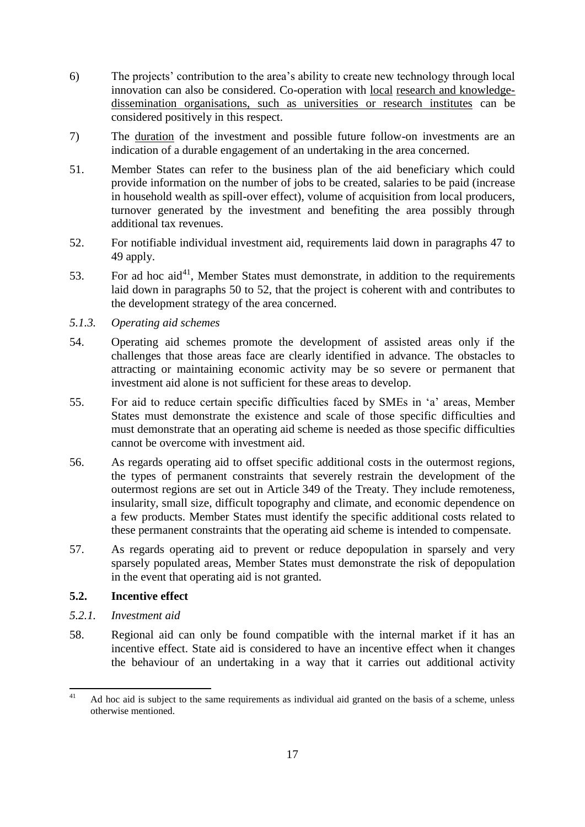- 6) The projects' contribution to the area's ability to create new technology through local innovation can also be considered. Co-operation with local research and knowledgedissemination organisations, such as universities or research institutes can be considered positively in this respect.
- 7) The duration of the investment and possible future follow-on investments are an indication of a durable engagement of an undertaking in the area concerned.
- 51. Member States can refer to the business plan of the aid beneficiary which could provide information on the number of jobs to be created, salaries to be paid (increase in household wealth as spill-over effect), volume of acquisition from local producers, turnover generated by the investment and benefiting the area possibly through additional tax revenues.
- 52. For notifiable individual investment aid, requirements laid down in paragraphs 47 to 49 apply.
- 53. For ad hoc aid<sup>41</sup>, Member States must demonstrate, in addition to the requirements laid down in paragraphs 50 to 52, that the project is coherent with and contributes to the development strategy of the area concerned.
- <span id="page-17-0"></span>*5.1.3. Operating aid schemes*
- 54. Operating aid schemes promote the development of assisted areas only if the challenges that those areas face are clearly identified in advance. The obstacles to attracting or maintaining economic activity may be so severe or permanent that investment aid alone is not sufficient for these areas to develop.
- 55. For aid to reduce certain specific difficulties faced by SMEs in 'a' areas, Member States must demonstrate the existence and scale of those specific difficulties and must demonstrate that an operating aid scheme is needed as those specific difficulties cannot be overcome with investment aid.
- 56. As regards operating aid to offset specific additional costs in the outermost regions, the types of permanent constraints that severely restrain the development of the outermost regions are set out in Article 349 of the Treaty. They include remoteness, insularity, small size, difficult topography and climate, and economic dependence on a few products. Member States must identify the specific additional costs related to these permanent constraints that the operating aid scheme is intended to compensate.
- 57. As regards operating aid to prevent or reduce depopulation in sparsely and very sparsely populated areas, Member States must demonstrate the risk of depopulation in the event that operating aid is not granted.

## <span id="page-17-1"></span>**5.2. Incentive effect**

- <span id="page-17-2"></span>*5.2.1. Investment aid*
- 58. Regional aid can only be found compatible with the internal market if it has an incentive effect. State aid is considered to have an incentive effect when it changes the behaviour of an undertaking in a way that it carries out additional activity

 $41$ <sup>41</sup> Ad hoc aid is subject to the same requirements as individual aid granted on the basis of a scheme, unless otherwise mentioned.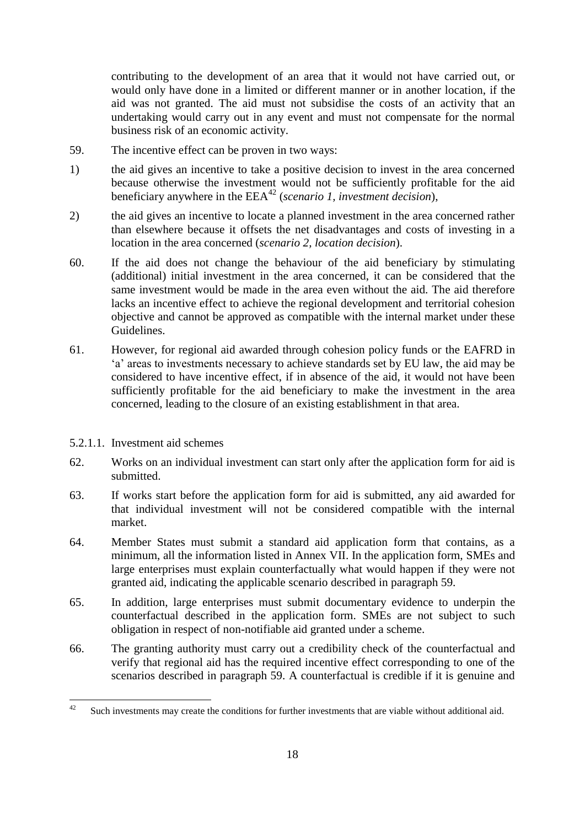contributing to the development of an area that it would not have carried out, or would only have done in a limited or different manner or in another location, if the aid was not granted. The aid must not subsidise the costs of an activity that an undertaking would carry out in any event and must not compensate for the normal business risk of an economic activity.

- 59. The incentive effect can be proven in two ways:
- 1) the aid gives an incentive to take a positive decision to invest in the area concerned because otherwise the investment would not be sufficiently profitable for the aid beneficiary anywhere in the EEA<sup>42</sup> (*scenario 1, investment decision*),
- 2) the aid gives an incentive to locate a planned investment in the area concerned rather than elsewhere because it offsets the net disadvantages and costs of investing in a location in the area concerned (*scenario 2, location decision*).
- 60. If the aid does not change the behaviour of the aid beneficiary by stimulating (additional) initial investment in the area concerned, it can be considered that the same investment would be made in the area even without the aid. The aid therefore lacks an incentive effect to achieve the regional development and territorial cohesion objective and cannot be approved as compatible with the internal market under these Guidelines.
- 61. However, for regional aid awarded through cohesion policy funds or the EAFRD in 'a' areas to investments necessary to achieve standards set by EU law, the aid may be considered to have incentive effect, if in absence of the aid, it would not have been sufficiently profitable for the aid beneficiary to make the investment in the area concerned, leading to the closure of an existing establishment in that area.
- 5.2.1.1. Investment aid schemes
- 62. Works on an individual investment can start only after the application form for aid is submitted.
- 63. If works start before the application form for aid is submitted, any aid awarded for that individual investment will not be considered compatible with the internal market.
- 64. Member States must submit a standard aid application form that contains, as a minimum, all the information listed in Annex VII. In the application form, SMEs and large enterprises must explain counterfactually what would happen if they were not granted aid, indicating the applicable scenario described in paragraph 59.
- 65. In addition, large enterprises must submit documentary evidence to underpin the counterfactual described in the application form. SMEs are not subject to such obligation in respect of non-notifiable aid granted under a scheme.
- 66. The granting authority must carry out a credibility check of the counterfactual and verify that regional aid has the required incentive effect corresponding to one of the scenarios described in paragraph 59. A counterfactual is credible if it is genuine and

<sup>42</sup> Such investments may create the conditions for further investments that are viable without additional aid.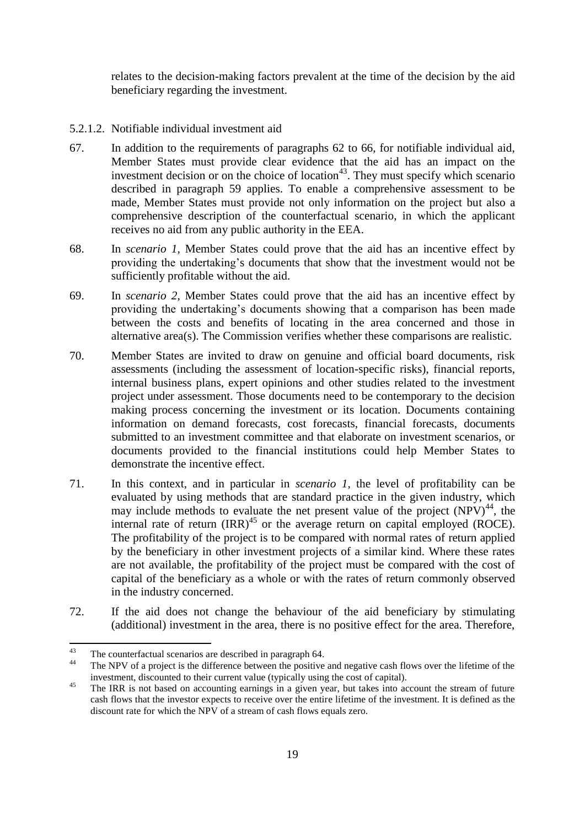relates to the decision-making factors prevalent at the time of the decision by the aid beneficiary regarding the investment.

- 5.2.1.2. Notifiable individual investment aid
- 67. In addition to the requirements of paragraphs 62 to 66, for notifiable individual aid, Member States must provide clear evidence that the aid has an impact on the investment decision or on the choice of location<sup>43</sup>. They must specify which scenario described in paragraph 59 applies. To enable a comprehensive assessment to be made, Member States must provide not only information on the project but also a comprehensive description of the counterfactual scenario, in which the applicant receives no aid from any public authority in the EEA.
- 68. In *scenario 1*, Member States could prove that the aid has an incentive effect by providing the undertaking's documents that show that the investment would not be sufficiently profitable without the aid.
- 69. In *scenario 2*, Member States could prove that the aid has an incentive effect by providing the undertaking's documents showing that a comparison has been made between the costs and benefits of locating in the area concerned and those in alternative area(s). The Commission verifies whether these comparisons are realistic.
- 70. Member States are invited to draw on genuine and official board documents, risk assessments (including the assessment of location-specific risks), financial reports, internal business plans, expert opinions and other studies related to the investment project under assessment. Those documents need to be contemporary to the decision making process concerning the investment or its location. Documents containing information on demand forecasts, cost forecasts, financial forecasts, documents submitted to an investment committee and that elaborate on investment scenarios, or documents provided to the financial institutions could help Member States to demonstrate the incentive effect.
- 71. In this context, and in particular in *scenario 1*, the level of profitability can be evaluated by using methods that are standard practice in the given industry, which may include methods to evaluate the net present value of the project  $(NPV)^{44}$ , the internal rate of return  $\text{IRR}^{\text{45}}$  or the average return on capital employed (ROCE). The profitability of the project is to be compared with normal rates of return applied by the beneficiary in other investment projects of a similar kind. Where these rates are not available, the profitability of the project must be compared with the cost of capital of the beneficiary as a whole or with the rates of return commonly observed in the industry concerned.
- 72. If the aid does not change the behaviour of the aid beneficiary by stimulating (additional) investment in the area, there is no positive effect for the area. Therefore,

 $43$ <sup>43</sup> The counterfactual scenarios are described in paragraph 64.

The NPV of a project is the difference between the positive and negative cash flows over the lifetime of the investment, discounted to their current value (typically using the cost of capital).

<sup>&</sup>lt;sup>45</sup> The IRR is not based on accounting earnings in a given year, but takes into account the stream of future cash flows that the investor expects to receive over the entire lifetime of the investment. It is defined as the discount rate for which the NPV of a stream of cash flows equals zero.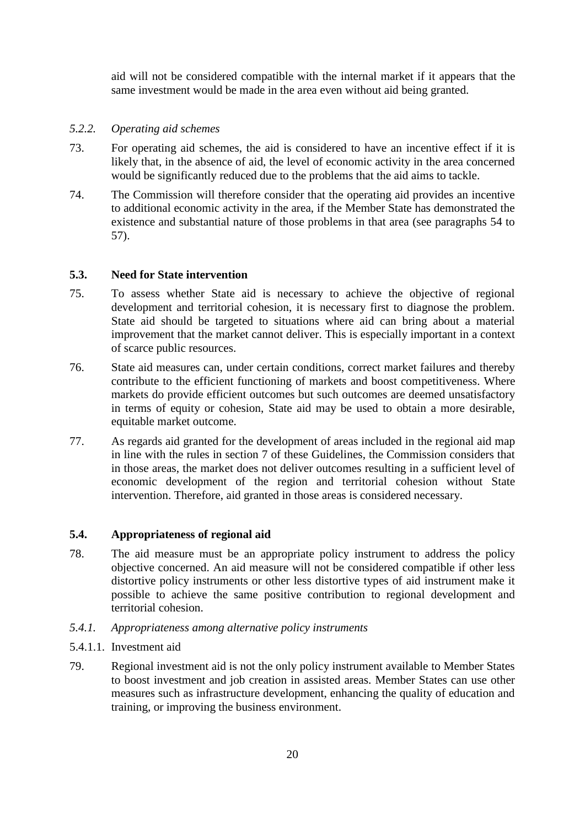aid will not be considered compatible with the internal market if it appears that the same investment would be made in the area even without aid being granted.

#### <span id="page-20-0"></span>*5.2.2. Operating aid schemes*

- 73. For operating aid schemes, the aid is considered to have an incentive effect if it is likely that, in the absence of aid, the level of economic activity in the area concerned would be significantly reduced due to the problems that the aid aims to tackle.
- 74. The Commission will therefore consider that the operating aid provides an incentive to additional economic activity in the area, if the Member State has demonstrated the existence and substantial nature of those problems in that area (see paragraphs 54 to 57).

# <span id="page-20-1"></span>**5.3. Need for State intervention**

- 75. To assess whether State aid is necessary to achieve the objective of regional development and territorial cohesion, it is necessary first to diagnose the problem. State aid should be targeted to situations where aid can bring about a material improvement that the market cannot deliver. This is especially important in a context of scarce public resources.
- 76. State aid measures can, under certain conditions, correct market failures and thereby contribute to the efficient functioning of markets and boost competitiveness. Where markets do provide efficient outcomes but such outcomes are deemed unsatisfactory in terms of equity or cohesion, State aid may be used to obtain a more desirable, equitable market outcome.
- 77. As regards aid granted for the development of areas included in the regional aid map in line with the rules in section 7 of these Guidelines, the Commission considers that in those areas, the market does not deliver outcomes resulting in a sufficient level of economic development of the region and territorial cohesion without State intervention. Therefore, aid granted in those areas is considered necessary.

# <span id="page-20-2"></span>**5.4. Appropriateness of regional aid**

- 78. The aid measure must be an appropriate policy instrument to address the policy objective concerned. An aid measure will not be considered compatible if other less distortive policy instruments or other less distortive types of aid instrument make it possible to achieve the same positive contribution to regional development and territorial cohesion.
- <span id="page-20-3"></span>*5.4.1. Appropriateness among alternative policy instruments*
- 5.4.1.1. Investment aid
- 79. Regional investment aid is not the only policy instrument available to Member States to boost investment and job creation in assisted areas. Member States can use other measures such as infrastructure development, enhancing the quality of education and training, or improving the business environment.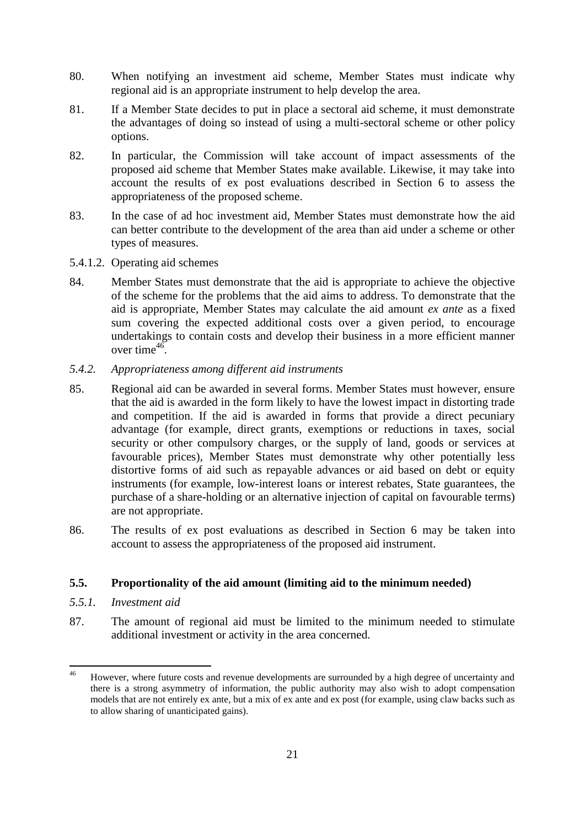- 80. When notifying an investment aid scheme, Member States must indicate why regional aid is an appropriate instrument to help develop the area.
- 81. If a Member State decides to put in place a sectoral aid scheme, it must demonstrate the advantages of doing so instead of using a multi-sectoral scheme or other policy options.
- 82. In particular, the Commission will take account of impact assessments of the proposed aid scheme that Member States make available. Likewise, it may take into account the results of ex post evaluations described in Section 6 to assess the appropriateness of the proposed scheme.
- 83. In the case of ad hoc investment aid, Member States must demonstrate how the aid can better contribute to the development of the area than aid under a scheme or other types of measures.
- 5.4.1.2. Operating aid schemes
- 84. Member States must demonstrate that the aid is appropriate to achieve the objective of the scheme for the problems that the aid aims to address. To demonstrate that the aid is appropriate, Member States may calculate the aid amount *ex ante* as a fixed sum covering the expected additional costs over a given period, to encourage undertakings to contain costs and develop their business in a more efficient manner over time $^{46}$ .
- <span id="page-21-0"></span>*5.4.2. Appropriateness among different aid instruments*
- 85. Regional aid can be awarded in several forms. Member States must however, ensure that the aid is awarded in the form likely to have the lowest impact in distorting trade and competition. If the aid is awarded in forms that provide a direct pecuniary advantage (for example, direct grants, exemptions or reductions in taxes, social security or other compulsory charges, or the supply of land, goods or services at favourable prices), Member States must demonstrate why other potentially less distortive forms of aid such as repayable advances or aid based on debt or equity instruments (for example, low-interest loans or interest rebates, State guarantees, the purchase of a share-holding or an alternative injection of capital on favourable terms) are not appropriate.
- 86. The results of ex post evaluations as described in Section 6 may be taken into account to assess the appropriateness of the proposed aid instrument.

# <span id="page-21-1"></span>**5.5. Proportionality of the aid amount (limiting aid to the minimum needed)**

- <span id="page-21-2"></span>*5.5.1. Investment aid*
- 87. The amount of regional aid must be limited to the minimum needed to stimulate additional investment or activity in the area concerned.

<sup>46</sup> However, where future costs and revenue developments are surrounded by a high degree of uncertainty and there is a strong asymmetry of information, the public authority may also wish to adopt compensation models that are not entirely ex ante, but a mix of ex ante and ex post (for example, using claw backs such as to allow sharing of unanticipated gains).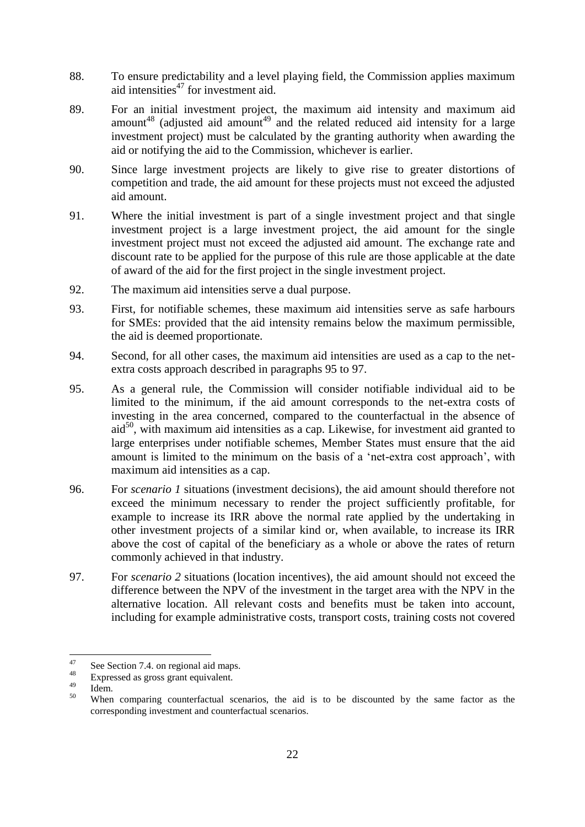- 88. To ensure predictability and a level playing field, the Commission applies maximum aid intensities<sup>47</sup> for investment aid.
- 89. For an initial investment project, the maximum aid intensity and maximum aid amount<sup>48</sup> (adjusted aid amount<sup>49</sup> and the related reduced aid intensity for a large investment project) must be calculated by the granting authority when awarding the aid or notifying the aid to the Commission, whichever is earlier.
- 90. Since large investment projects are likely to give rise to greater distortions of competition and trade, the aid amount for these projects must not exceed the adjusted aid amount.
- 91. Where the initial investment is part of a single investment project and that single investment project is a large investment project, the aid amount for the single investment project must not exceed the adjusted aid amount. The exchange rate and discount rate to be applied for the purpose of this rule are those applicable at the date of award of the aid for the first project in the single investment project.
- 92. The maximum aid intensities serve a dual purpose.
- 93. First, for notifiable schemes, these maximum aid intensities serve as safe harbours for SMEs: provided that the aid intensity remains below the maximum permissible, the aid is deemed proportionate.
- 94. Second, for all other cases, the maximum aid intensities are used as a cap to the netextra costs approach described in paragraphs 95 to 97.
- 95. As a general rule, the Commission will consider notifiable individual aid to be limited to the minimum, if the aid amount corresponds to the net-extra costs of investing in the area concerned, compared to the counterfactual in the absence of  $aid^{50}$ , with maximum aid intensities as a cap. Likewise, for investment aid granted to large enterprises under notifiable schemes, Member States must ensure that the aid amount is limited to the minimum on the basis of a 'net-extra cost approach', with maximum aid intensities as a cap.
- 96. For *scenario 1* situations (investment decisions), the aid amount should therefore not exceed the minimum necessary to render the project sufficiently profitable, for example to increase its IRR above the normal rate applied by the undertaking in other investment projects of a similar kind or, when available, to increase its IRR above the cost of capital of the beneficiary as a whole or above the rates of return commonly achieved in that industry.
- 97. For *scenario 2* situations (location incentives), the aid amount should not exceed the difference between the NPV of the investment in the target area with the NPV in the alternative location. All relevant costs and benefits must be taken into account, including for example administrative costs, transport costs, training costs not covered

 $47$  $^{47}$  See Section 7.4. on regional aid maps.

 $^{48}_{49}$  Expressed as gross grant equivalent.

 $\frac{49}{50}$  Idem.

<sup>50</sup> When comparing counterfactual scenarios, the aid is to be discounted by the same factor as the corresponding investment and counterfactual scenarios.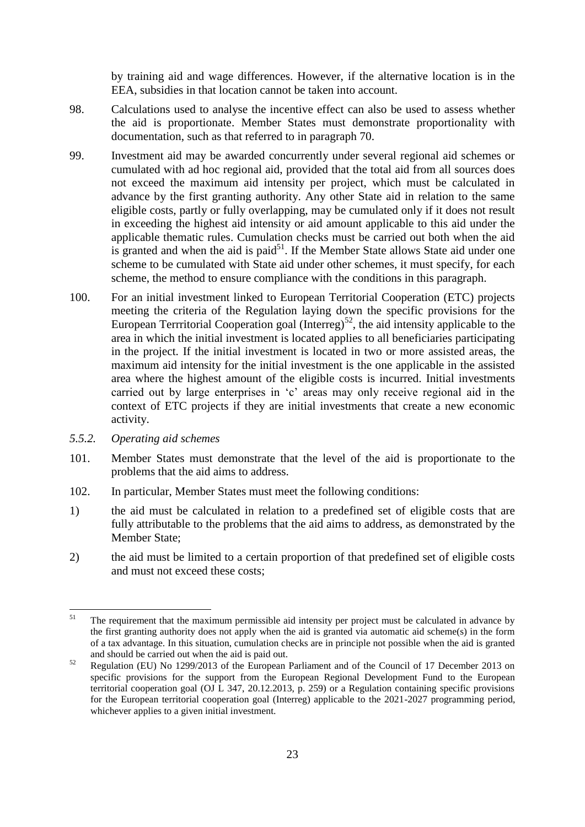by training aid and wage differences. However, if the alternative location is in the EEA, subsidies in that location cannot be taken into account.

- 98. Calculations used to analyse the incentive effect can also be used to assess whether the aid is proportionate. Member States must demonstrate proportionality with documentation, such as that referred to in paragraph 70.
- 99. Investment aid may be awarded concurrently under several regional aid schemes or cumulated with ad hoc regional aid, provided that the total aid from all sources does not exceed the maximum aid intensity per project, which must be calculated in advance by the first granting authority. Any other State aid in relation to the same eligible costs, partly or fully overlapping, may be cumulated only if it does not result in exceeding the highest aid intensity or aid amount applicable to this aid under the applicable thematic rules. Cumulation checks must be carried out both when the aid is granted and when the aid is paid $5<sup>1</sup>$ . If the Member State allows State aid under one scheme to be cumulated with State aid under other schemes, it must specify, for each scheme, the method to ensure compliance with the conditions in this paragraph.
- 100. For an initial investment linked to European Territorial Cooperation (ETC) projects meeting the criteria of the Regulation laying down the specific provisions for the European Terrritorial Cooperation goal (Interreg)<sup>52</sup>, the aid intensity applicable to the area in which the initial investment is located applies to all beneficiaries participating in the project. If the initial investment is located in two or more assisted areas, the maximum aid intensity for the initial investment is the one applicable in the assisted area where the highest amount of the eligible costs is incurred. Initial investments carried out by large enterprises in 'c' areas may only receive regional aid in the context of ETC projects if they are initial investments that create a new economic activity.
- <span id="page-23-0"></span>*5.5.2. Operating aid schemes*
- 101. Member States must demonstrate that the level of the aid is proportionate to the problems that the aid aims to address.
- 102. In particular, Member States must meet the following conditions:
- 1) the aid must be calculated in relation to a predefined set of eligible costs that are fully attributable to the problems that the aid aims to address, as demonstrated by the Member State;
- 2) the aid must be limited to a certain proportion of that predefined set of eligible costs and must not exceed these costs;

 $51$ The requirement that the maximum permissible aid intensity per project must be calculated in advance by the first granting authority does not apply when the aid is granted via automatic aid scheme(s) in the form of a tax advantage. In this situation, cumulation checks are in principle not possible when the aid is granted and should be carried out when the aid is paid out.

<sup>&</sup>lt;sup>52</sup> Regulation (EU) No 1299/2013 of the European Parliament and of the Council of 17 December 2013 on specific provisions for the support from the European Regional Development Fund to the European territorial cooperation goal (OJ L 347, 20.12.2013, p. 259) or a Regulation containing specific provisions for the European territorial cooperation goal (Interreg) applicable to the 2021-2027 programming period, whichever applies to a given initial investment.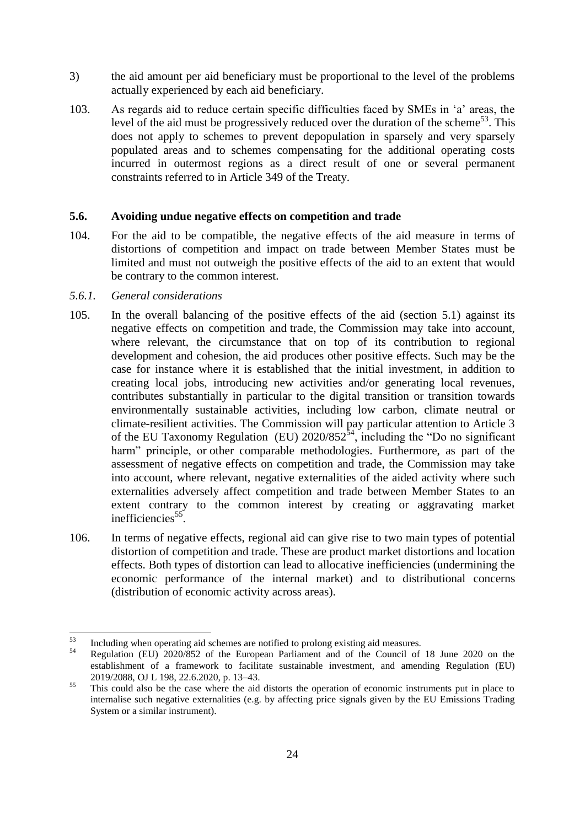- 3) the aid amount per aid beneficiary must be proportional to the level of the problems actually experienced by each aid beneficiary.
- 103. As regards aid to reduce certain specific difficulties faced by SMEs in 'a' areas, the level of the aid must be progressively reduced over the duration of the scheme<sup>53</sup>. This does not apply to schemes to prevent depopulation in sparsely and very sparsely populated areas and to schemes compensating for the additional operating costs incurred in outermost regions as a direct result of one or several permanent constraints referred to in Article 349 of the Treaty.

#### <span id="page-24-0"></span>**5.6. Avoiding undue negative effects on competition and trade**

104. For the aid to be compatible, the negative effects of the aid measure in terms of distortions of competition and impact on trade between Member States must be limited and must not outweigh the positive effects of the aid to an extent that would be contrary to the common interest.

#### <span id="page-24-1"></span>*5.6.1. General considerations*

- 105. In the overall balancing of the positive effects of the aid (section 5.1) against its negative effects on competition and trade, the Commission may take into account, where relevant, the circumstance that on top of its contribution to regional development and cohesion, the aid produces other positive effects. Such may be the case for instance where it is established that the initial investment, in addition to creating local jobs, introducing new activities and/or generating local revenues, contributes substantially in particular to the digital transition or transition towards environmentally sustainable activities, including low carbon, climate neutral or climate-resilient activities. The Commission will pay particular attention to Article 3 of the EU Taxonomy Regulation (EU)  $2020/852^{54}$ , including the "Do no significant harm" principle, or other comparable methodologies. Furthermore, as part of the assessment of negative effects on competition and trade, the Commission may take into account, where relevant, negative externalities of the aided activity where such externalities adversely affect competition and trade between Member States to an extent contrary to the common interest by creating or aggravating market inefficiencies<sup>55</sup>.
- 106. In terms of negative effects, regional aid can give rise to two main types of potential distortion of competition and trade. These are product market distortions and location effects. Both types of distortion can lead to allocative inefficiencies (undermining the economic performance of the internal market) and to distributional concerns (distribution of economic activity across areas).

<sup>53</sup>  $^{53}$  Including when operating aid schemes are notified to prolong existing aid measures.

<sup>54</sup> Regulation (EU) 2020/852 of the European Parliament and of the Council of 18 June 2020 on the establishment of a framework to facilitate sustainable investment, and amending Regulation (EU) 2019/2088, OJ L 198, 22.6.2020, p. 13–43.

<sup>&</sup>lt;sup>55</sup> This could also be the case where the aid distorts the operation of economic instruments put in place to internalise such negative externalities (e.g. by affecting price signals given by the EU Emissions Trading System or a similar instrument).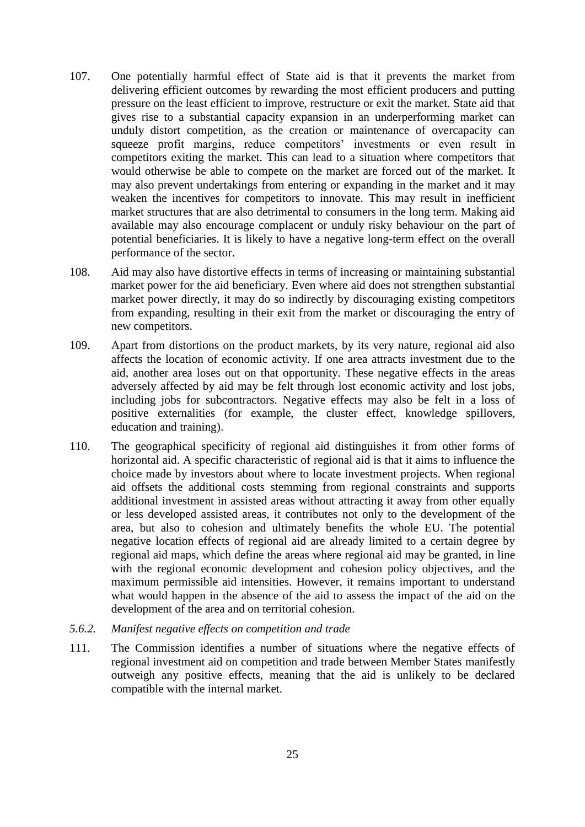- 107. One potentially harmful effect of State aid is that it prevents the market from delivering efficient outcomes by rewarding the most efficient producers and putting pressure on the least efficient to improve, restructure or exit the market. State aid that gives rise to a substantial capacity expansion in an underperforming market can unduly distort competition, as the creation or maintenance of overcapacity can squeeze profit margins, reduce competitors' investments or even result in competitors exiting the market. This can lead to a situation where competitors that would otherwise be able to compete on the market are forced out of the market. It may also prevent undertakings from entering or expanding in the market and it may weaken the incentives for competitors to innovate. This may result in inefficient market structures that are also detrimental to consumers in the long term. Making aid available may also encourage complacent or unduly risky behaviour on the part of potential beneficiaries. It is likely to have a negative long-term effect on the overall performance of the sector.
- 108. Aid may also have distortive effects in terms of increasing or maintaining substantial market power for the aid beneficiary. Even where aid does not strengthen substantial market power directly, it may do so indirectly by discouraging existing competitors from expanding, resulting in their exit from the market or discouraging the entry of new competitors.
- 109. Apart from distortions on the product markets, by its very nature, regional aid also affects the location of economic activity. If one area attracts investment due to the aid, another area loses out on that opportunity. These negative effects in the areas adversely affected by aid may be felt through lost economic activity and lost jobs, including jobs for subcontractors. Negative effects may also be felt in a loss of positive externalities (for example, the cluster effect, knowledge spillovers, education and training).
- 110. The geographical specificity of regional aid distinguishes it from other forms of horizontal aid. A specific characteristic of regional aid is that it aims to influence the choice made by investors about where to locate investment projects. When regional aid offsets the additional costs stemming from regional constraints and supports additional investment in assisted areas without attracting it away from other equally or less developed assisted areas, it contributes not only to the development of the area, but also to cohesion and ultimately benefits the whole EU. The potential negative location effects of regional aid are already limited to a certain degree by regional aid maps, which define the areas where regional aid may be granted, in line with the regional economic development and cohesion policy objectives, and the maximum permissible aid intensities. However, it remains important to understand what would happen in the absence of the aid to assess the impact of the aid on the development of the area and on territorial cohesion.
- <span id="page-25-0"></span>*5.6.2. Manifest negative effects on competition and trade*
- 111. The Commission identifies a number of situations where the negative effects of regional investment aid on competition and trade between Member States manifestly outweigh any positive effects, meaning that the aid is unlikely to be declared compatible with the internal market.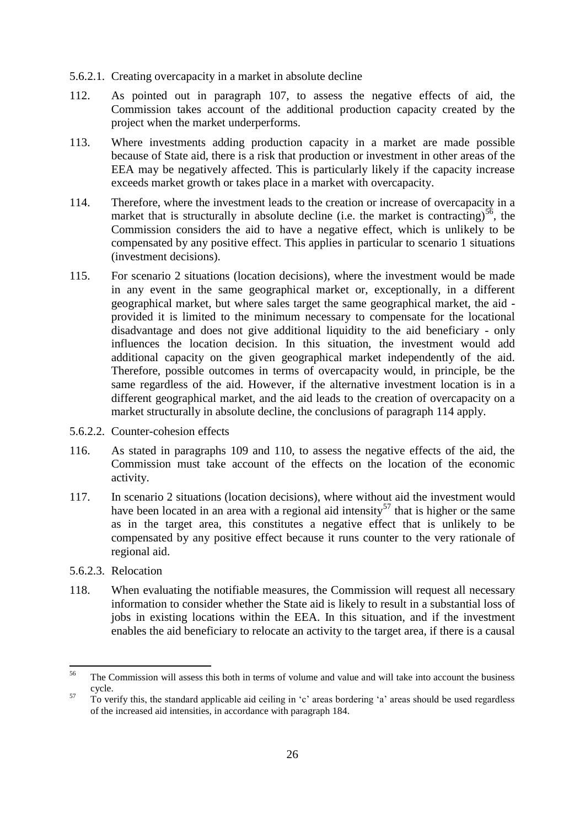- 5.6.2.1. Creating overcapacity in a market in absolute decline
- 112. As pointed out in paragraph 107, to assess the negative effects of aid, the Commission takes account of the additional production capacity created by the project when the market underperforms.
- 113. Where investments adding production capacity in a market are made possible because of State aid, there is a risk that production or investment in other areas of the EEA may be negatively affected. This is particularly likely if the capacity increase exceeds market growth or takes place in a market with overcapacity.
- 114. Therefore, where the investment leads to the creation or increase of overcapacity in a market that is structurally in absolute decline (i.e. the market is contracting)<sup>56</sup>, the Commission considers the aid to have a negative effect, which is unlikely to be compensated by any positive effect. This applies in particular to scenario 1 situations (investment decisions).
- 115. For scenario 2 situations (location decisions), where the investment would be made in any event in the same geographical market or, exceptionally, in a different geographical market, but where sales target the same geographical market, the aid provided it is limited to the minimum necessary to compensate for the locational disadvantage and does not give additional liquidity to the aid beneficiary - only influences the location decision. In this situation, the investment would add additional capacity on the given geographical market independently of the aid. Therefore, possible outcomes in terms of overcapacity would, in principle, be the same regardless of the aid. However, if the alternative investment location is in a different geographical market, and the aid leads to the creation of overcapacity on a market structurally in absolute decline, the conclusions of paragraph 114 apply.
- 5.6.2.2. Counter-cohesion effects
- 116. As stated in paragraphs 109 and 110, to assess the negative effects of the aid, the Commission must take account of the effects on the location of the economic activity.
- 117. In scenario 2 situations (location decisions), where without aid the investment would have been located in an area with a regional aid intensity<sup>57</sup> that is higher or the same as in the target area, this constitutes a negative effect that is unlikely to be compensated by any positive effect because it runs counter to the very rationale of regional aid.
- 5.6.2.3. Relocation
- 118. When evaluating the notifiable measures, the Commission will request all necessary information to consider whether the State aid is likely to result in a substantial loss of jobs in existing locations within the EEA. In this situation, and if the investment enables the aid beneficiary to relocate an activity to the target area, if there is a causal

<sup>56</sup> <sup>56</sup> The Commission will assess this both in terms of volume and value and will take into account the business cycle.

<sup>&</sup>lt;sup>57</sup> To verify this, the standard applicable aid ceiling in 'c' areas bordering 'a' areas should be used regardless of the increased aid intensities, in accordance with paragraph 184.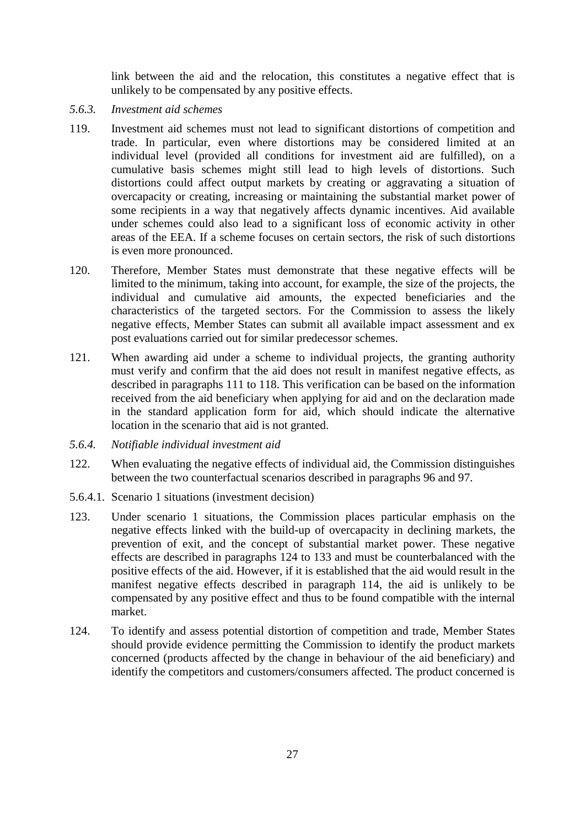link between the aid and the relocation, this constitutes a negative effect that is unlikely to be compensated by any positive effects.

- <span id="page-27-0"></span>*5.6.3. Investment aid schemes*
- 119. Investment aid schemes must not lead to significant distortions of competition and trade. In particular, even where distortions may be considered limited at an individual level (provided all conditions for investment aid are fulfilled), on a cumulative basis schemes might still lead to high levels of distortions. Such distortions could affect output markets by creating or aggravating a situation of overcapacity or creating, increasing or maintaining the substantial market power of some recipients in a way that negatively affects dynamic incentives. Aid available under schemes could also lead to a significant loss of economic activity in other areas of the EEA. If a scheme focuses on certain sectors, the risk of such distortions is even more pronounced.
- 120. Therefore, Member States must demonstrate that these negative effects will be limited to the minimum, taking into account, for example, the size of the projects, the individual and cumulative aid amounts, the expected beneficiaries and the characteristics of the targeted sectors. For the Commission to assess the likely negative effects, Member States can submit all available impact assessment and ex post evaluations carried out for similar predecessor schemes.
- 121. When awarding aid under a scheme to individual projects, the granting authority must verify and confirm that the aid does not result in manifest negative effects, as described in paragraphs 111 to 118. This verification can be based on the information received from the aid beneficiary when applying for aid and on the declaration made in the standard application form for aid, which should indicate the alternative location in the scenario that aid is not granted.
- <span id="page-27-1"></span>*5.6.4. Notifiable individual investment aid*
- 122. When evaluating the negative effects of individual aid, the Commission distinguishes between the two counterfactual scenarios described in paragraphs 96 and 97.
- 5.6.4.1. Scenario 1 situations (investment decision)
- 123. Under scenario 1 situations, the Commission places particular emphasis on the negative effects linked with the build-up of overcapacity in declining markets, the prevention of exit, and the concept of substantial market power. These negative effects are described in paragraphs 124 to 133 and must be counterbalanced with the positive effects of the aid. However, if it is established that the aid would result in the manifest negative effects described in paragraph 114, the aid is unlikely to be compensated by any positive effect and thus to be found compatible with the internal market.
- 124. To identify and assess potential distortion of competition and trade, Member States should provide evidence permitting the Commission to identify the product markets concerned (products affected by the change in behaviour of the aid beneficiary) and identify the competitors and customers/consumers affected. The product concerned is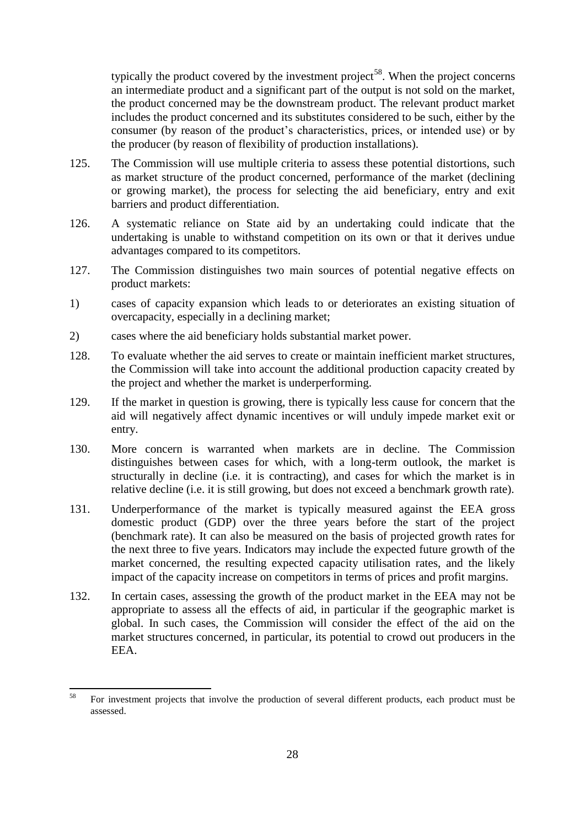typically the product covered by the investment project<sup>58</sup>. When the project concerns an intermediate product and a significant part of the output is not sold on the market, the product concerned may be the downstream product. The relevant product market includes the product concerned and its substitutes considered to be such, either by the consumer (by reason of the product's characteristics, prices, or intended use) or by the producer (by reason of flexibility of production installations).

- 125. The Commission will use multiple criteria to assess these potential distortions, such as market structure of the product concerned, performance of the market (declining or growing market), the process for selecting the aid beneficiary, entry and exit barriers and product differentiation.
- 126. A systematic reliance on State aid by an undertaking could indicate that the undertaking is unable to withstand competition on its own or that it derives undue advantages compared to its competitors.
- 127. The Commission distinguishes two main sources of potential negative effects on product markets:
- 1) cases of capacity expansion which leads to or deteriorates an existing situation of overcapacity, especially in a declining market;
- 2) cases where the aid beneficiary holds substantial market power.
- 128. To evaluate whether the aid serves to create or maintain inefficient market structures, the Commission will take into account the additional production capacity created by the project and whether the market is underperforming.
- 129. If the market in question is growing, there is typically less cause for concern that the aid will negatively affect dynamic incentives or will unduly impede market exit or entry.
- 130. More concern is warranted when markets are in decline. The Commission distinguishes between cases for which, with a long-term outlook, the market is structurally in decline (i.e. it is contracting), and cases for which the market is in relative decline (i.e. it is still growing, but does not exceed a benchmark growth rate).
- 131. Underperformance of the market is typically measured against the EEA gross domestic product (GDP) over the three years before the start of the project (benchmark rate). It can also be measured on the basis of projected growth rates for the next three to five years. Indicators may include the expected future growth of the market concerned, the resulting expected capacity utilisation rates, and the likely impact of the capacity increase on competitors in terms of prices and profit margins.
- 132. In certain cases, assessing the growth of the product market in the EEA may not be appropriate to assess all the effects of aid, in particular if the geographic market is global. In such cases, the Commission will consider the effect of the aid on the market structures concerned, in particular, its potential to crowd out producers in the EEA.

 $58$ <sup>58</sup> For investment projects that involve the production of several different products, each product must be assessed.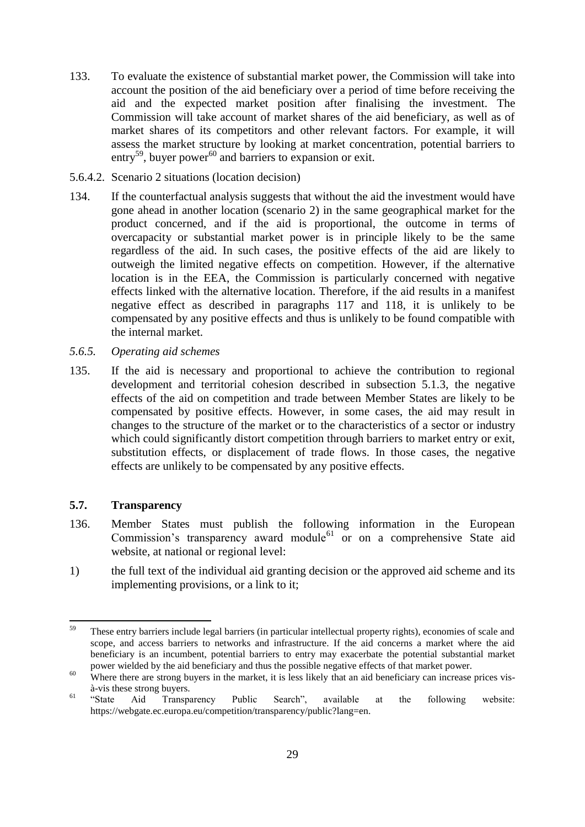- 133. To evaluate the existence of substantial market power, the Commission will take into account the position of the aid beneficiary over a period of time before receiving the aid and the expected market position after finalising the investment. The Commission will take account of market shares of the aid beneficiary, as well as of market shares of its competitors and other relevant factors. For example, it will assess the market structure by looking at market concentration, potential barriers to entry<sup>59</sup>, buyer power<sup>60</sup> and barriers to expansion or exit.
- 5.6.4.2. Scenario 2 situations (location decision)
- 134. If the counterfactual analysis suggests that without the aid the investment would have gone ahead in another location (scenario 2) in the same geographical market for the product concerned, and if the aid is proportional, the outcome in terms of overcapacity or substantial market power is in principle likely to be the same regardless of the aid. In such cases, the positive effects of the aid are likely to outweigh the limited negative effects on competition. However, if the alternative location is in the EEA, the Commission is particularly concerned with negative effects linked with the alternative location. Therefore, if the aid results in a manifest negative effect as described in paragraphs 117 and 118, it is unlikely to be compensated by any positive effects and thus is unlikely to be found compatible with the internal market.
- <span id="page-29-0"></span>*5.6.5. Operating aid schemes*
- 135. If the aid is necessary and proportional to achieve the contribution to regional development and territorial cohesion described in subsection 5.1.3, the negative effects of the aid on competition and trade between Member States are likely to be compensated by positive effects. However, in some cases, the aid may result in changes to the structure of the market or to the characteristics of a sector or industry which could significantly distort competition through barriers to market entry or exit, substitution effects, or displacement of trade flows. In those cases, the negative effects are unlikely to be compensated by any positive effects.

#### <span id="page-29-1"></span>**5.7. Transparency**

- 136. Member States must publish the following information in the European Commission's transparency award module<sup>61</sup> or on a comprehensive State aid website, at national or regional level:
- 1) the full text of the individual aid granting decision or the approved aid scheme and its implementing provisions, or a link to it;

 $59$ <sup>59</sup> These entry barriers include legal barriers (in particular intellectual property rights), economies of scale and scope, and access barriers to networks and infrastructure. If the aid concerns a market where the aid beneficiary is an incumbent, potential barriers to entry may exacerbate the potential substantial market power wielded by the aid beneficiary and thus the possible negative effects of that market power.

<sup>&</sup>lt;sup>60</sup> Where there are strong buyers in the market, it is less likely that an aid beneficiary can increase prices vis-

à-vis these strong buyers. <sup>61</sup> "State Aid Transparency Public Search", available at the following website: [https://webgate.ec.europa.eu/competition/transparency/public?lang=en.](https://webgate.ec.europa.eu/competition/transparency/public?lang=en)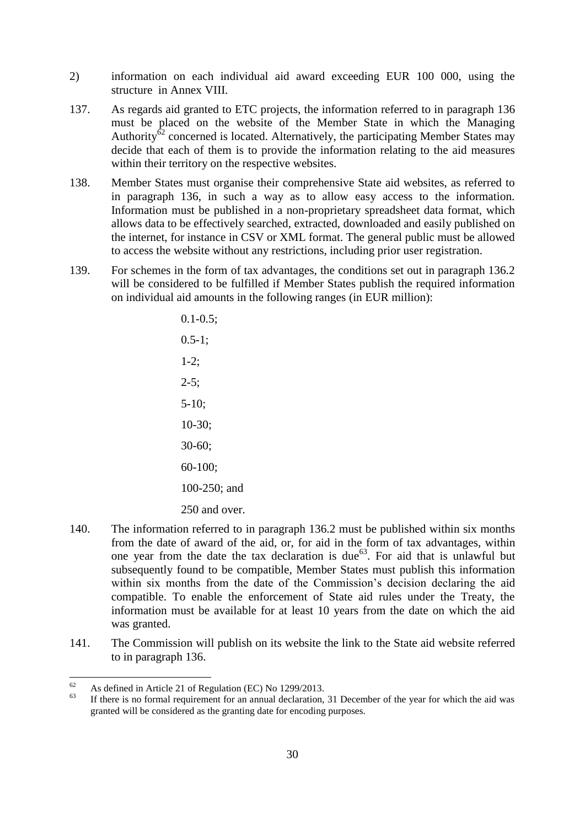- 2) information on each individual aid award exceeding EUR 100 000, using the structure in Annex VIII.
- 137. As regards aid granted to ETC projects, the information referred to in paragraph 136 must be placed on the website of the Member State in which the Managing Authority<sup>62</sup> concerned is located. Alternatively, the participating Member States may decide that each of them is to provide the information relating to the aid measures within their territory on the respective websites.
- 138. Member States must organise their comprehensive State aid websites, as referred to in paragraph 136, in such a way as to allow easy access to the information. Information must be published in a non-proprietary spreadsheet data format, which allows data to be effectively searched, extracted, downloaded and easily published on the internet, for instance in CSV or XML format. The general public must be allowed to access the website without any restrictions, including prior user registration.
- 139. For schemes in the form of tax advantages, the conditions set out in paragraph 136.2 will be considered to be fulfilled if Member States publish the required information on individual aid amounts in the following ranges (in EUR million):

 $0.1 - 0.5$ ;  $0.5 - 1$ : 1-2;  $2 - 5$ ; 5-10; 10-30; 30-60; 60-100; 100-250; and 250 and over.

- 140. The information referred to in paragraph 136.2 must be published within six months from the date of award of the aid, or, for aid in the form of tax advantages, within one year from the date the tax declaration is due $^{63}$ . For aid that is unlawful but subsequently found to be compatible, Member States must publish this information within six months from the date of the Commission's decision declaring the aid compatible. To enable the enforcement of State aid rules under the Treaty, the information must be available for at least 10 years from the date on which the aid was granted.
- 141. The Commission will publish on its website the link to the State aid website referred to in paragraph 136.

 $62$  $^{62}$  As defined in Article 21 of Regulation (EC) No 1299/2013.

If there is no formal requirement for an annual declaration, 31 December of the year for which the aid was granted will be considered as the granting date for encoding purposes.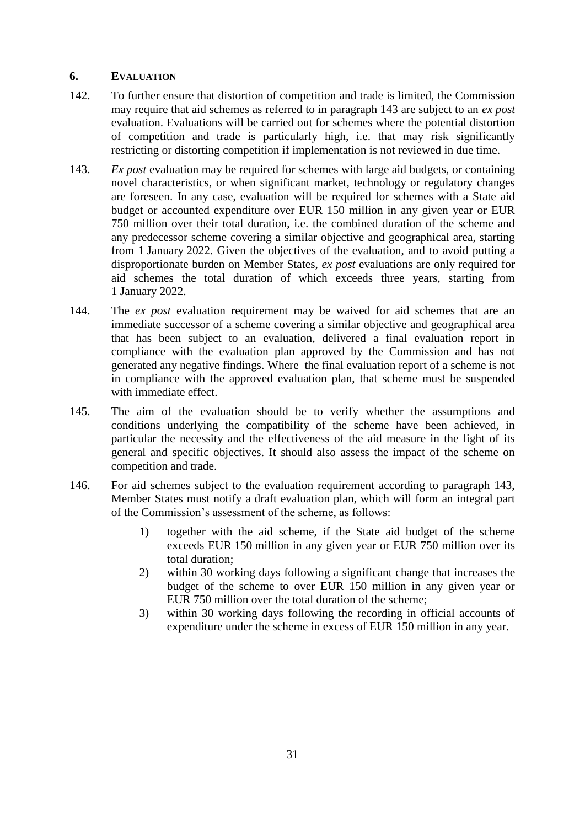#### <span id="page-31-0"></span>**6. EVALUATION**

- 142. To further ensure that distortion of competition and trade is limited, the Commission may require that aid schemes as referred to in paragraph 143 are subject to an *ex post* evaluation. Evaluations will be carried out for schemes where the potential distortion of competition and trade is particularly high, i.e. that may risk significantly restricting or distorting competition if implementation is not reviewed in due time.
- 143. *Ex post* evaluation may be required for schemes with large aid budgets, or containing novel characteristics, or when significant market, technology or regulatory changes are foreseen. In any case, evaluation will be required for schemes with a State aid budget or accounted expenditure over EUR 150 million in any given year or EUR 750 million over their total duration, i.e. the combined duration of the scheme and any predecessor scheme covering a similar objective and geographical area, starting from 1 January 2022. Given the objectives of the evaluation, and to avoid putting a disproportionate burden on Member States, *ex post* evaluations are only required for aid schemes the total duration of which exceeds three years, starting from 1 January 2022.
- 144. The *ex post* evaluation requirement may be waived for aid schemes that are an immediate successor of a scheme covering a similar objective and geographical area that has been subject to an evaluation, delivered a final evaluation report in compliance with the evaluation plan approved by the Commission and has not generated any negative findings. Where the final evaluation report of a scheme is not in compliance with the approved evaluation plan, that scheme must be suspended with immediate effect.
- 145. The aim of the evaluation should be to verify whether the assumptions and conditions underlying the compatibility of the scheme have been achieved, in particular the necessity and the effectiveness of the aid measure in the light of its general and specific objectives. It should also assess the impact of the scheme on competition and trade.
- 146. For aid schemes subject to the evaluation requirement according to paragraph 143, Member States must notify a draft evaluation plan, which will form an integral part of the Commission's assessment of the scheme, as follows:
	- 1) together with the aid scheme, if the State aid budget of the scheme exceeds EUR 150 million in any given year or EUR 750 million over its total duration;
	- 2) within 30 working days following a significant change that increases the budget of the scheme to over EUR 150 million in any given year or EUR 750 million over the total duration of the scheme;
	- 3) within 30 working days following the recording in official accounts of expenditure under the scheme in excess of EUR 150 million in any year.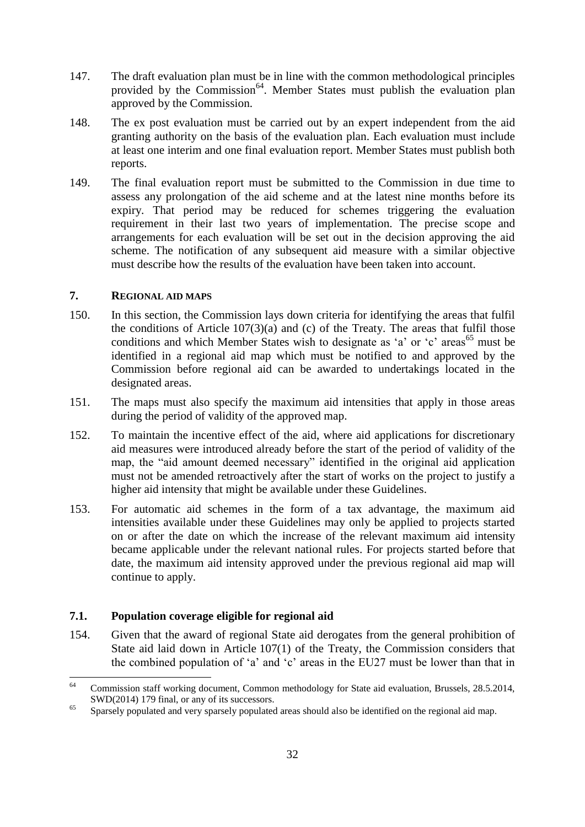- 147. The draft evaluation plan must be in line with the common methodological principles provided by the Commission<sup>64</sup>. Member States must publish the evaluation plan approved by the Commission.
- 148. The ex post evaluation must be carried out by an expert independent from the aid granting authority on the basis of the evaluation plan. Each evaluation must include at least one interim and one final evaluation report. Member States must publish both reports.
- 149. The final evaluation report must be submitted to the Commission in due time to assess any prolongation of the aid scheme and at the latest nine months before its expiry. That period may be reduced for schemes triggering the evaluation requirement in their last two years of implementation. The precise scope and arrangements for each evaluation will be set out in the decision approving the aid scheme. The notification of any subsequent aid measure with a similar objective must describe how the results of the evaluation have been taken into account.

#### <span id="page-32-0"></span>**7. REGIONAL AID MAPS**

- 150. In this section, the Commission lays down criteria for identifying the areas that fulfil the conditions of Article 107(3)(a) and (c) of the Treaty. The areas that fulfil those conditions and which Member States wish to designate as 'a' or 'c' areas<sup>65</sup> must be identified in a regional aid map which must be notified to and approved by the Commission before regional aid can be awarded to undertakings located in the designated areas.
- 151. The maps must also specify the maximum aid intensities that apply in those areas during the period of validity of the approved map.
- 152. To maintain the incentive effect of the aid, where aid applications for discretionary aid measures were introduced already before the start of the period of validity of the map, the "aid amount deemed necessary" identified in the original aid application must not be amended retroactively after the start of works on the project to justify a higher aid intensity that might be available under these Guidelines.
- 153. For automatic aid schemes in the form of a tax advantage, the maximum aid intensities available under these Guidelines may only be applied to projects started on or after the date on which the increase of the relevant maximum aid intensity became applicable under the relevant national rules. For projects started before that date, the maximum aid intensity approved under the previous regional aid map will continue to apply.

#### <span id="page-32-1"></span>**7.1. Population coverage eligible for regional aid**

154. Given that the award of regional State aid derogates from the general prohibition of State aid laid down in Article 107(1) of the Treaty, the Commission considers that the combined population of 'a' and 'c' areas in the EU27 must be lower than that in

<sup>64</sup> <sup>64</sup> Commission staff working document, Common methodology for State aid evaluation, Brussels, 28.5.2014, SWD(2014) 179 final, or any of its successors.

<sup>&</sup>lt;sup>65</sup> Sparsely populated and very sparsely populated areas should also be identified on the regional aid map.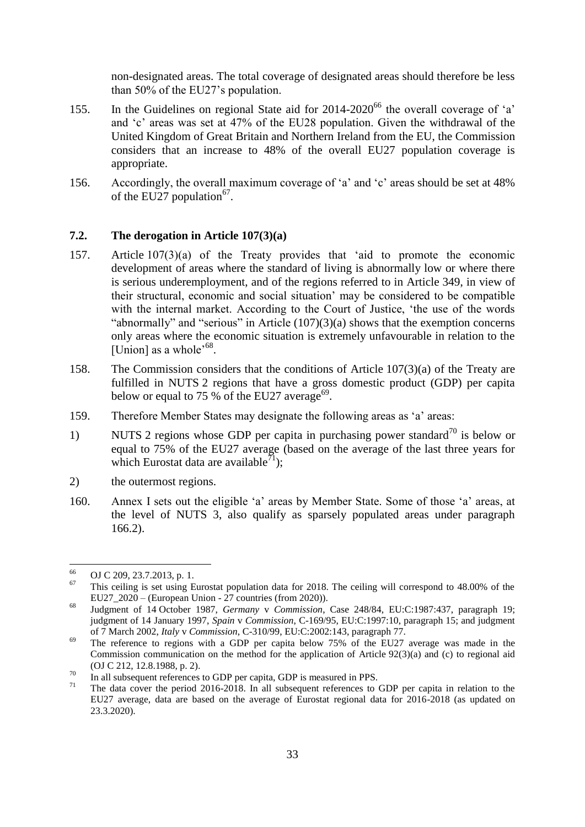non-designated areas. The total coverage of designated areas should therefore be less than 50% of the EU27's population.

- 155. In the Guidelines on regional State aid for 2014-2020<sup>66</sup> the overall coverage of 'a' and 'c' areas was set at 47% of the EU28 population. Given the withdrawal of the United Kingdom of Great Britain and Northern Ireland from the EU, the Commission considers that an increase to 48% of the overall EU27 population coverage is appropriate.
- 156. Accordingly, the overall maximum coverage of 'a' and 'c' areas should be set at 48% of the EU27 population<sup>67</sup>.

#### <span id="page-33-0"></span>**7.2. The derogation in Article 107(3)(a)**

- 157. Article 107(3)(a) of the Treaty provides that 'aid to promote the economic development of areas where the standard of living is abnormally low or where there is serious underemployment, and of the regions referred to in Article 349, in view of their structural, economic and social situation' may be considered to be compatible with the internal market. According to the Court of Justice, 'the use of the words "abnormally" and "serious" in Article (107)(3)(a) shows that the exemption concerns only areas where the economic situation is extremely unfavourable in relation to the [Union] as a whole<sup> $68$ </sup>.
- 158. The Commission considers that the conditions of Article 107(3)(a) of the Treaty are fulfilled in NUTS 2 regions that have a gross domestic product (GDP) per capita below or equal to 75 % of the EU27 average<sup>69</sup>.
- 159. Therefore Member States may designate the following areas as 'a' areas:
- 1) NUTS 2 regions whose GDP per capita in purchasing power standard<sup>70</sup> is below or equal to 75% of the EU27 average (based on the average of the last three years for which Eurostat data are available<sup>71</sup>);
- 2) the outermost regions.
- 160. Annex I sets out the eligible 'a' areas by Member State. Some of those 'a' areas, at the level of NUTS 3, also qualify as sparsely populated areas under paragraph 166.2).

<sup>66</sup>  $^{66}$  OJ C 209, 23.7.2013, p. 1.

<sup>67</sup> This ceiling is set using Eurostat population data for 2018. The ceiling will correspond to 48.00% of the EU27  $2020$  – (European Union - 27 countries (from 2020)).

<sup>68</sup> Judgment of 14 October 1987, *Germany* v *Commission*, Case 248/84, EU:C:1987:437, paragraph 19; judgment of 14 January 1997, *Spain* v *Commission*, C-169/95, EU:C:1997:10, paragraph 15; and judgment of 7 March 2002, *Italy* v *Commission*, C-310/99, EU:C:2002:143, paragraph 77.

<sup>&</sup>lt;sup>69</sup> The reference to regions with a GDP per capita below 75% of the EU27 average was made in the Commission communication on the method for the application of Article 92(3)(a) and (c) to regional aid (OJ C 212, 12.8.1988, p. 2).

 $^{70}$  In all subsequent references to GDP per capita, GDP is measured in PPS.

The data cover the period 2016-2018. In all subsequent references to GDP per capita in relation to the EU27 average, data are based on the average of Eurostat regional data for 2016-2018 (as updated on 23.3.2020).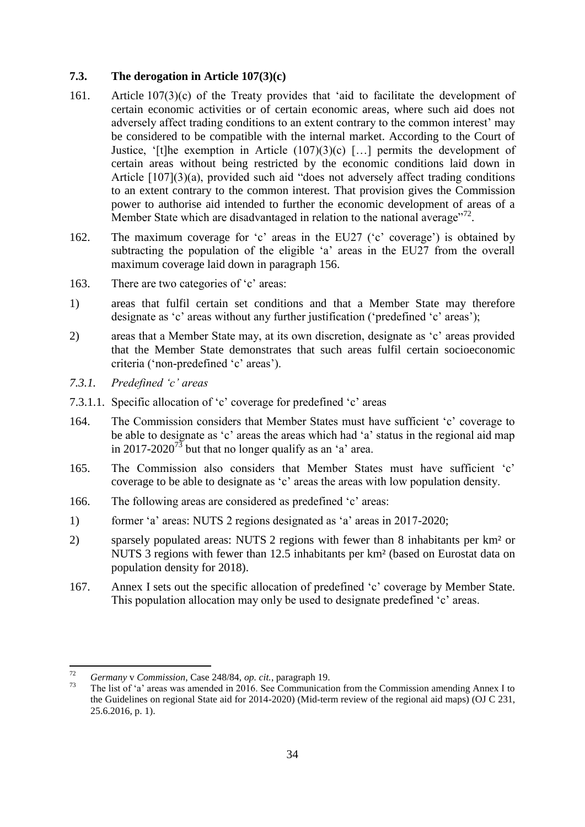# <span id="page-34-0"></span>**7.3. The derogation in Article 107(3)(c)**

- 161. Article 107(3)(c) of the Treaty provides that 'aid to facilitate the development of certain economic activities or of certain economic areas, where such aid does not adversely affect trading conditions to an extent contrary to the common interest' may be considered to be compatible with the internal market. According to the Court of Justice, '[t]he exemption in Article  $(107)(3)(c)$  [...] permits the development of certain areas without being restricted by the economic conditions laid down in Article [107](3)(a), provided such aid "does not adversely affect trading conditions to an extent contrary to the common interest. That provision gives the Commission power to authorise aid intended to further the economic development of areas of a Member State which are disadvantaged in relation to the national average"<sup>72</sup>.
- 162. The maximum coverage for 'c' areas in the EU27 ('c' coverage') is obtained by subtracting the population of the eligible 'a' areas in the EU27 from the overall maximum coverage laid down in paragraph 156.
- 163. There are two categories of 'c' areas:
- 1) areas that fulfil certain set conditions and that a Member State may therefore designate as 'c' areas without any further justification ('predefined 'c' areas');
- 2) areas that a Member State may, at its own discretion, designate as 'c' areas provided that the Member State demonstrates that such areas fulfil certain socioeconomic criteria ('non-predefined 'c' areas').
- <span id="page-34-1"></span>*7.3.1. Predefined 'c' areas*
- 7.3.1.1. Specific allocation of 'c' coverage for predefined 'c' areas
- 164. The Commission considers that Member States must have sufficient 'c' coverage to be able to designate as 'c' areas the areas which had 'a' status in the regional aid map in 2017-2020<sup>73</sup> but that no longer qualify as an 'a' area.
- 165. The Commission also considers that Member States must have sufficient 'c' coverage to be able to designate as 'c' areas the areas with low population density.
- 166. The following areas are considered as predefined 'c' areas:
- 1) former 'a' areas: NUTS 2 regions designated as 'a' areas in 2017-2020;
- 2) sparsely populated areas: NUTS 2 regions with fewer than 8 inhabitants per km² or NUTS 3 regions with fewer than 12.5 inhabitants per km² (based on Eurostat data on population density for 2018).
- 167. Annex I sets out the specific allocation of predefined 'c' coverage by Member State. This population allocation may only be used to designate predefined 'c' areas.

 $72$ <sup>72</sup> *Germany* v *Commission*, Case 248/84, *op. cit.*, paragraph 19.

The list of 'a' areas was amended in 2016. See Communication from the Commission amending Annex I to the Guidelines on regional State aid for 2014-2020) (Mid-term review of the regional aid maps) (OJ C 231, 25.6.2016, p. 1).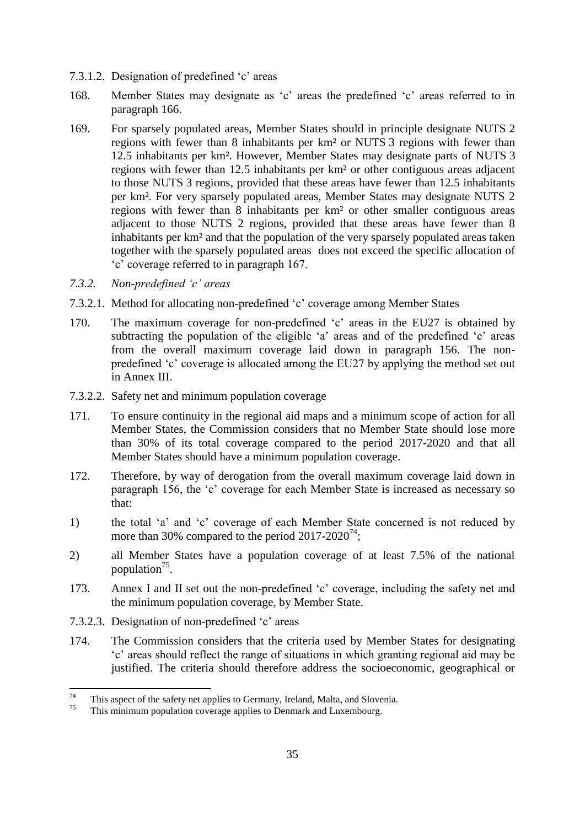- 7.3.1.2. Designation of predefined 'c' areas
- 168. Member States may designate as 'c' areas the predefined 'c' areas referred to in paragraph 166.
- 169. For sparsely populated areas, Member States should in principle designate NUTS 2 regions with fewer than 8 inhabitants per km² or NUTS 3 regions with fewer than 12.5 inhabitants per km². However, Member States may designate parts of NUTS 3 regions with fewer than 12.5 inhabitants per km² or other contiguous areas adjacent to those NUTS 3 regions, provided that these areas have fewer than 12.5 inhabitants per km². For very sparsely populated areas, Member States may designate NUTS 2 regions with fewer than 8 inhabitants per km² or other smaller contiguous areas adjacent to those NUTS 2 regions, provided that these areas have fewer than 8 inhabitants per km² and that the population of the very sparsely populated areas taken together with the sparsely populated areas does not exceed the specific allocation of 'c' coverage referred to in paragraph 167.
- <span id="page-35-0"></span>*7.3.2. Non-predefined 'c' areas*
- 7.3.2.1. Method for allocating non-predefined 'c' coverage among Member States
- 170. The maximum coverage for non-predefined 'c' areas in the EU27 is obtained by subtracting the population of the eligible 'a' areas and of the predefined 'c' areas from the overall maximum coverage laid down in paragraph 156. The nonpredefined 'c' coverage is allocated among the EU27 by applying the method set out in Annex III.
- 7.3.2.2. Safety net and minimum population coverage
- 171. To ensure continuity in the regional aid maps and a minimum scope of action for all Member States, the Commission considers that no Member State should lose more than 30% of its total coverage compared to the period 2017-2020 and that all Member States should have a minimum population coverage.
- 172. Therefore, by way of derogation from the overall maximum coverage laid down in paragraph 156, the 'c' coverage for each Member State is increased as necessary so that:
- 1) the total 'a' and 'c' coverage of each Member State concerned is not reduced by more than 30% compared to the period  $2017-2020^{74}$ ;
- 2) all Member States have a population coverage of at least 7.5% of the national population<sup>75</sup>.
- 173. Annex I and II set out the non-predefined 'c' coverage, including the safety net and the minimum population coverage, by Member State.
- 7.3.2.3. Designation of non-predefined 'c' areas
- 174. The Commission considers that the criteria used by Member States for designating 'c' areas should reflect the range of situations in which granting regional aid may be justified. The criteria should therefore address the socioeconomic, geographical or

 $74$ <sup>74</sup> This aspect of the safety net applies to Germany, Ireland, Malta, and Slovenia.

This minimum population coverage applies to Denmark and Luxembourg.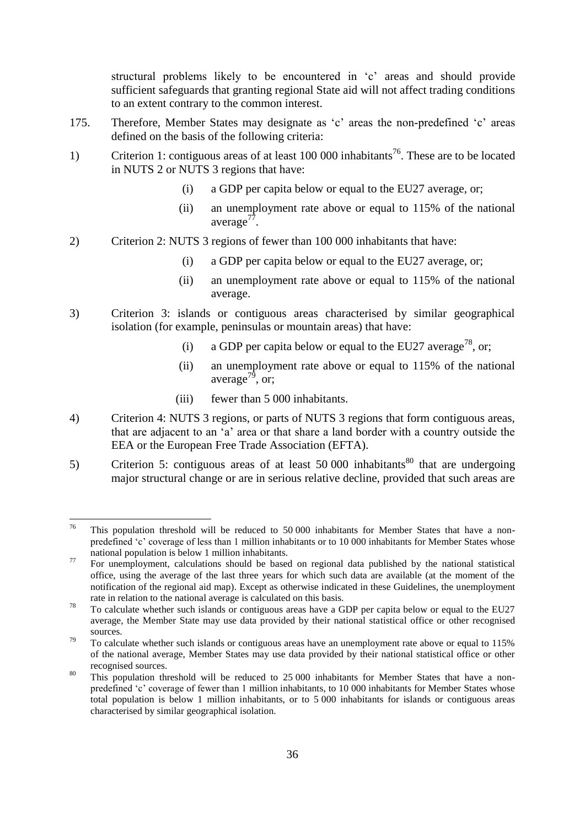structural problems likely to be encountered in 'c' areas and should provide sufficient safeguards that granting regional State aid will not affect trading conditions to an extent contrary to the common interest.

- 175. Therefore, Member States may designate as 'c' areas the non-predefined 'c' areas defined on the basis of the following criteria:
- 1) Criterion 1: contiguous areas of at least 100 000 inhabitants<sup>76</sup>. These are to be located in NUTS 2 or NUTS 3 regions that have:
	- (i) a GDP per capita below or equal to the EU27 average, or;
	- (ii) an unemployment rate above or equal to 115% of the national average<sup>77</sup>.
- 2) Criterion 2: NUTS 3 regions of fewer than 100 000 inhabitants that have:
	- (i) a GDP per capita below or equal to the EU27 average, or;
	- (ii) an unemployment rate above or equal to 115% of the national average.
- 3) Criterion 3: islands or contiguous areas characterised by similar geographical isolation (for example, peninsulas or mountain areas) that have:
	- (i) a GDP per capita below or equal to the EU27 average<sup>78</sup>, or;
	- (ii) an unemployment rate above or equal to 115% of the national average<sup>79</sup>, or:
	- (iii) fewer than 5 000 inhabitants.
- 4) Criterion 4: NUTS 3 regions, or parts of NUTS 3 regions that form contiguous areas, that are adjacent to an 'a' area or that share a land border with a country outside the EEA or the European Free Trade Association (EFTA).
- 5) Criterion 5: contiguous areas of at least 50 000 inhabitants<sup>80</sup> that are undergoing major structural change or are in serious relative decline, provided that such areas are

<sup>76</sup> This population threshold will be reduced to 50 000 inhabitants for Member States that have a nonpredefined 'c' coverage of less than 1 million inhabitants or to 10 000 inhabitants for Member States whose national population is below 1 million inhabitants.

<sup>&</sup>lt;sup>77</sup> For unemployment, calculations should be based on regional data published by the national statistical office, using the average of the last three years for which such data are available (at the moment of the notification of the regional aid map). Except as otherwise indicated in these Guidelines, the unemployment rate in relation to the national average is calculated on this basis.

<sup>&</sup>lt;sup>78</sup> To calculate whether such islands or contiguous areas have a GDP per capita below or equal to the EU27 average, the Member State may use data provided by their national statistical office or other recognised sources.

 $79$  To calculate whether such islands or contiguous areas have an unemployment rate above or equal to 115% of the national average, Member States may use data provided by their national statistical office or other recognised sources.

<sup>&</sup>lt;sup>80</sup> This population threshold will be reduced to 25 000 inhabitants for Member States that have a nonpredefined 'c' coverage of fewer than 1 million inhabitants, to 10 000 inhabitants for Member States whose total population is below 1 million inhabitants, or to 5 000 inhabitants for islands or contiguous areas characterised by similar geographical isolation.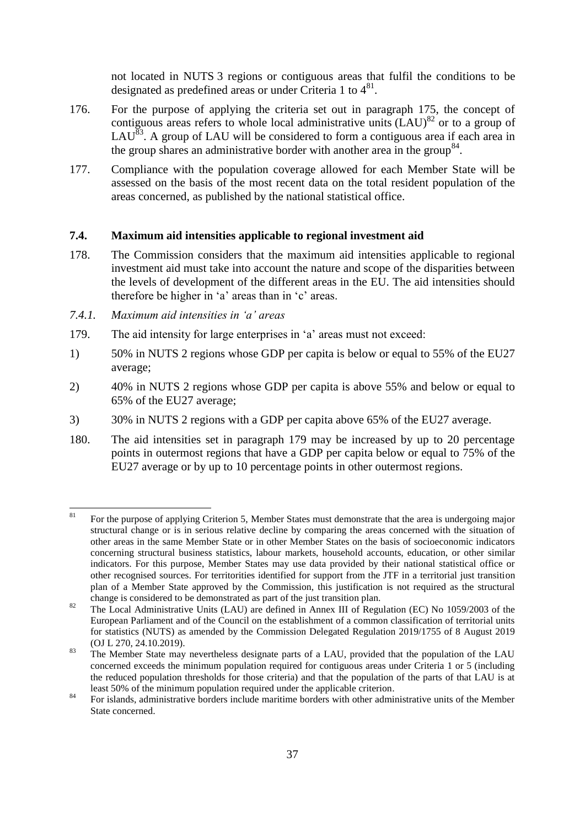not located in NUTS 3 regions or contiguous areas that fulfil the conditions to be designated as predefined areas or under Criteria 1 to  $4^{81}$ .

- 176. For the purpose of applying the criteria set out in paragraph 175, the concept of contiguous areas refers to whole local administrative units  $(LAU)^{82}$  or to a group of LAU<sup>83</sup>. A group of LAU will be considered to form a contiguous area if each area in the group shares an administrative border with another area in the group<sup>84</sup>.
- 177. Compliance with the population coverage allowed for each Member State will be assessed on the basis of the most recent data on the total resident population of the areas concerned, as published by the national statistical office.

#### <span id="page-37-0"></span>**7.4. Maximum aid intensities applicable to regional investment aid**

- 178. The Commission considers that the maximum aid intensities applicable to regional investment aid must take into account the nature and scope of the disparities between the levels of development of the different areas in the EU. The aid intensities should therefore be higher in 'a' areas than in 'c' areas.
- <span id="page-37-1"></span>*7.4.1. Maximum aid intensities in 'a' areas*
- 179. The aid intensity for large enterprises in 'a' areas must not exceed:
- 1) 50% in NUTS 2 regions whose GDP per capita is below or equal to 55% of the EU27 average;
- 2) 40% in NUTS 2 regions whose GDP per capita is above 55% and below or equal to 65% of the EU27 average;
- 3) 30% in NUTS 2 regions with a GDP per capita above 65% of the EU27 average.
- 180. The aid intensities set in paragraph 179 may be increased by up to 20 percentage points in outermost regions that have a GDP per capita below or equal to 75% of the EU27 average or by up to 10 percentage points in other outermost regions.

 $81$ <sup>81</sup> For the purpose of applying Criterion 5, Member States must demonstrate that the area is undergoing major structural change or is in serious relative decline by comparing the areas concerned with the situation of other areas in the same Member State or in other Member States on the basis of socioeconomic indicators concerning structural business statistics, labour markets, household accounts, education, or other similar indicators. For this purpose, Member States may use data provided by their national statistical office or other recognised sources. For territorities identified for support from the JTF in a territorial just transition plan of a Member State approved by the Commission, this justification is not required as the structural change is considered to be demonstrated as part of the just transition plan.

<sup>&</sup>lt;sup>82</sup> The Local Administrative Units (LAU) are defined in Annex III of Regulation (EC) No 1059/2003 of the European Parliament and of the Council on the establishment of a common classification of territorial units for statistics (NUTS) as amended by the [Commission Delegated Regulation 2019/1755 of 8 August 2019](https://eur-lex.europa.eu/legal-content/EN/TXT/?qid=1571919890809&uri=CELEX:32019R1755) (OJ L 270, 24.10.2019).

<sup>&</sup>lt;sup>83</sup> The Member State may nevertheless designate parts of a LAU, provided that the population of the LAU concerned exceeds the minimum population required for contiguous areas under Criteria 1 or 5 (including the reduced population thresholds for those criteria) and that the population of the parts of that LAU is at least 50% of the minimum population required under the applicable criterion.

<sup>&</sup>lt;sup>84</sup> For islands, administrative borders include maritime borders with other administrative units of the Member State concerned.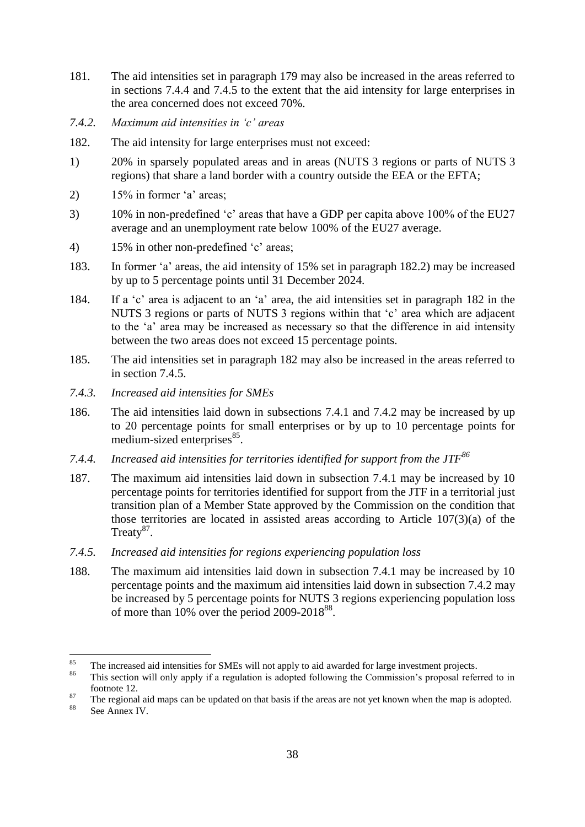- 181. The aid intensities set in paragraph 179 may also be increased in the areas referred to in sections 7.4.4 and 7.4.5 to the extent that the aid intensity for large enterprises in the area concerned does not exceed 70%.
- <span id="page-38-0"></span>*7.4.2. Maximum aid intensities in 'c' areas*
- 182. The aid intensity for large enterprises must not exceed:
- 1) 20% in sparsely populated areas and in areas (NUTS 3 regions or parts of NUTS 3 regions) that share a land border with a country outside the EEA or the EFTA;
- 2)  $15\%$  in former 'a' areas;
- 3) 10% in non-predefined 'c' areas that have a GDP per capita above 100% of the EU27 average and an unemployment rate below 100% of the EU27 average.
- 4) 15% in other non-predefined 'c' areas;
- 183. In former 'a' areas, the aid intensity of 15% set in paragraph 182.2) may be increased by up to 5 percentage points until 31 December 2024.
- 184. If a 'c' area is adjacent to an 'a' area, the aid intensities set in paragraph 182 in the NUTS 3 regions or parts of NUTS 3 regions within that 'c' area which are adjacent to the 'a' area may be increased as necessary so that the difference in aid intensity between the two areas does not exceed 15 percentage points.
- 185. The aid intensities set in paragraph 182 may also be increased in the areas referred to in section 7.4.5.
- <span id="page-38-1"></span>*7.4.3. Increased aid intensities for SMEs*
- 186. The aid intensities laid down in subsections 7.4.1 and 7.4.2 may be increased by up to 20 percentage points for small enterprises or by up to 10 percentage points for medium-sized enterprises<sup>85</sup>.
- <span id="page-38-2"></span>*7.4.4. Increased aid intensities for territories identified for support from the JTF<sup>86</sup>*
- 187. The maximum aid intensities laid down in subsection 7.4.1 may be increased by 10 percentage points for territories identified for support from the JTF in a territorial just transition plan of a Member State approved by the Commission on the condition that those territories are located in assisted areas according to Article 107(3)(a) of the Treaty $87$ .
- <span id="page-38-3"></span>*7.4.5. Increased aid intensities for regions experiencing population loss*
- 188. The maximum aid intensities laid down in subsection 7.4.1 may be increased by 10 percentage points and the maximum aid intensities laid down in subsection 7.4.2 may be increased by 5 percentage points for NUTS 3 regions experiencing population loss of more than  $10\%$  over the period 2009-2018 $^{88}$ .

 $85$ <sup>85</sup> The increased aid intensities for SMEs will not apply to aid awarded for large investment projects.

This section will only apply if a regulation is adopted following the Commission's proposal referred to in footnote 12.

<sup>&</sup>lt;sup>87</sup> The regional aid maps can be updated on that basis if the areas are not yet known when the map is adopted.

See Annex IV.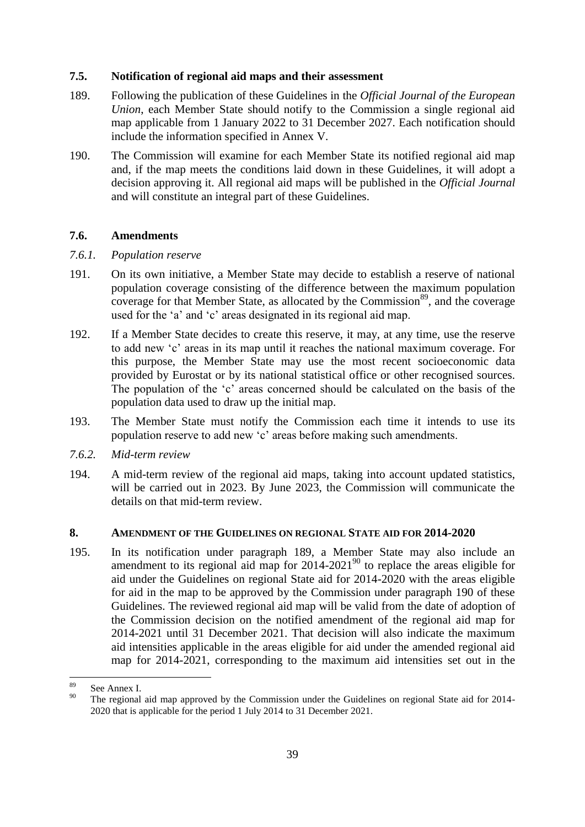#### <span id="page-39-0"></span>**7.5. Notification of regional aid maps and their assessment**

- 189. Following the publication of these Guidelines in the *Official Journal of the European Union*, each Member State should notify to the Commission a single regional aid map applicable from 1 January 2022 to 31 December 2027. Each notification should include the information specified in Annex V.
- 190. The Commission will examine for each Member State its notified regional aid map and, if the map meets the conditions laid down in these Guidelines, it will adopt a decision approving it. All regional aid maps will be published in the *Official Journal*  and will constitute an integral part of these Guidelines.

#### <span id="page-39-1"></span>**7.6. Amendments**

#### <span id="page-39-2"></span>*7.6.1. Population reserve*

- 191. On its own initiative, a Member State may decide to establish a reserve of national population coverage consisting of the difference between the maximum population coverage for that Member State, as allocated by the Commission $89$ , and the coverage used for the 'a' and 'c' areas designated in its regional aid map.
- 192. If a Member State decides to create this reserve, it may, at any time, use the reserve to add new 'c' areas in its map until it reaches the national maximum coverage. For this purpose, the Member State may use the most recent socioeconomic data provided by Eurostat or by its national statistical office or other recognised sources. The population of the 'c' areas concerned should be calculated on the basis of the population data used to draw up the initial map.
- 193. The Member State must notify the Commission each time it intends to use its population reserve to add new 'c' areas before making such amendments.
- <span id="page-39-3"></span>*7.6.2. Mid-term review*
- 194. A mid-term review of the regional aid maps, taking into account updated statistics, will be carried out in 2023. By June 2023, the Commission will communicate the details on that mid-term review.

#### <span id="page-39-4"></span>**8. AMENDMENT OF THE GUIDELINES ON REGIONAL STATE AID FOR 2014-2020**

195. In its notification under paragraph 189, a Member State may also include an amendment to its regional aid map for  $2014-2021<sup>90</sup>$  to replace the areas eligible for aid under the Guidelines on regional State aid for 2014-2020 with the areas eligible for aid in the map to be approved by the Commission under paragraph 190 of these Guidelines. The reviewed regional aid map will be valid from the date of adoption of the Commission decision on the notified amendment of the regional aid map for 2014-2021 until 31 December 2021. That decision will also indicate the maximum aid intensities applicable in the areas eligible for aid under the amended regional aid map for 2014-2021, corresponding to the maximum aid intensities set out in the

<sup>89</sup>  $\frac{89}{90}$  See Annex I.

The regional aid map approved by the Commission under the Guidelines on regional State aid for 2014-2020 that is applicable for the period 1 July 2014 to 31 December 2021.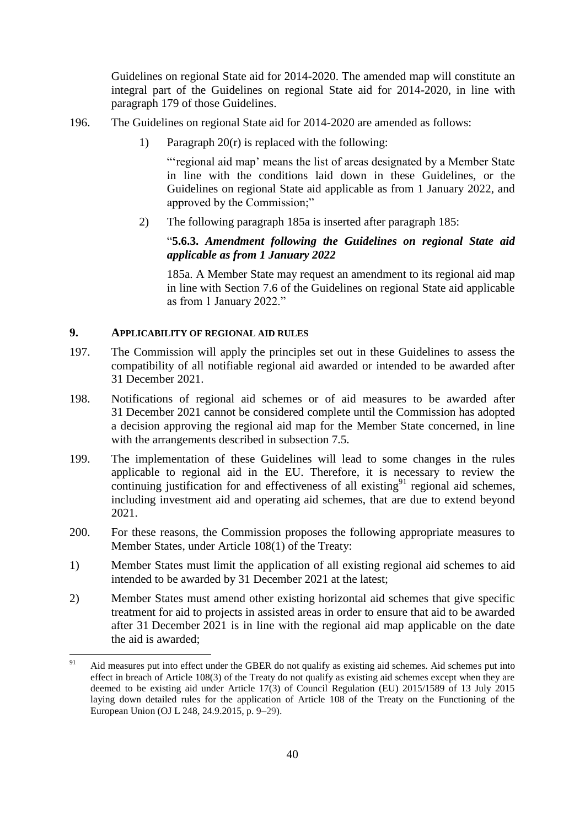Guidelines on regional State aid for 2014-2020. The amended map will constitute an integral part of the Guidelines on regional State aid for 2014-2020, in line with paragraph 179 of those Guidelines.

- 196. The Guidelines on regional State aid for 2014-2020 are amended as follows:
	- 1) Paragraph  $20(r)$  is replaced with the following:

"'regional aid map' means the list of areas designated by a Member State in line with the conditions laid down in these Guidelines, or the Guidelines on regional State aid applicable as from 1 January 2022, and approved by the Commission;"

2) The following paragraph 185a is inserted after paragraph 185:

# "**5.6.3.** *Amendment following the Guidelines on regional State aid applicable as from 1 January 2022*

185a. A Member State may request an amendment to its regional aid map in line with Section 7.6 of the Guidelines on regional State aid applicable as from 1 January 2022."

# <span id="page-40-0"></span>**9. APPLICABILITY OF REGIONAL AID RULES**

1

- 197. The Commission will apply the principles set out in these Guidelines to assess the compatibility of all notifiable regional aid awarded or intended to be awarded after 31 December 2021.
- 198. Notifications of regional aid schemes or of aid measures to be awarded after 31 December 2021 cannot be considered complete until the Commission has adopted a decision approving the regional aid map for the Member State concerned, in line with the arrangements described in subsection 7.5.
- 199. The implementation of these Guidelines will lead to some changes in the rules applicable to regional aid in the EU. Therefore, it is necessary to review the continuing justification for and effectiveness of all existing $91$  regional aid schemes, including investment aid and operating aid schemes, that are due to extend beyond 2021.
- 200. For these reasons, the Commission proposes the following appropriate measures to Member States, under Article 108(1) of the Treaty:
- 1) Member States must limit the application of all existing regional aid schemes to aid intended to be awarded by 31 December 2021 at the latest;
- 2) Member States must amend other existing horizontal aid schemes that give specific treatment for aid to projects in assisted areas in order to ensure that aid to be awarded after 31 December 2021 is in line with the regional aid map applicable on the date the aid is awarded;

Aid measures put into effect under the GBER do not qualify as existing aid schemes. Aid schemes put into effect in breach of Article 108(3) of the Treaty do not qualify as existing aid schemes except when they are deemed to be existing aid under Article 17(3) of Council Regulation (EU) 2015/1589 of 13 July 2015 laying down detailed rules for the application of Article 108 of the Treaty on the Functioning of the European Union (OJ L 248, 24.9.2015, p. 9–29).